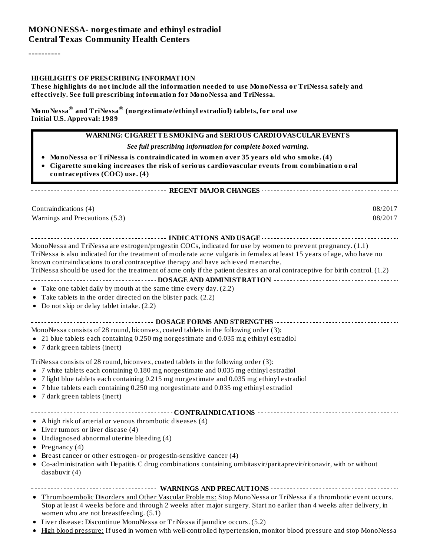#### **MONONESSA- norgestimate and ethinyl estradiol Central Texas Community Health Centers**

----------

#### **HIGHLIGHTS OF PRESCRIBING INFORMATION**

**These highlights do not include all the information needed to use MonoNessa or TriNessa safely and effectively. See full prescribing information for MonoNessa and TriNessa.**

**MonoNessa and TriNessa (norgestimate/ethinyl estradiol) tablets, for oral use ® ®Initial U.S. Approval: 1989**

#### **WARNING: CIGARETTE SMOKING and SERIOUS CARDIOVASCULAR EVENTS** *See full prescribing information for complete boxed warning.* **MonoNessa or TriNessa is contraindicated in women over 35 years old who smoke. (4) Cigarette smoking increases the risk of serious cardiovascular events from combination oral contraceptives (COC) use. (4) RECENT MAJOR CHANGES** Contraindications (4) 08/2017 Warnings and Precautions (5.3) 08/2017 **INDICATIONS AND USAGE INDICATIONS AND USAGE** *CONSIDERATIONS* **AND USAGE** *AND* **USAGE** *AND* **USAGE** *AND* MonoNessa and TriNessa are estrogen/progestin COCs, indicated for use by women to prevent pregnancy. (1.1) TriNessa is also indicated for the treatment of moderate acne vulgaris in females at least 15 years of age, who have no known contraindications to oral contraceptive therapy and have achieved menarche. TriNessa should be used for the treatment of acne only if the patient desires an oral contraceptive for birth control. (1.2) **DOSAGE AND ADMINISTRATION** Take one tablet daily by mouth at the same time every day. (2.2) Take tablets in the order directed on the blister pack. (2.2) • Do not skip or delay tablet intake.  $(2.2)$ **DOSAGE FORMS AND STRENGTHS** MonoNessa consists of 28 round, biconvex, coated tablets in the following order (3): 21 blue tablets each containing 0.250 mg norgestimate and 0.035 mg ethinyl estradiol 7 dark green tablets (inert) TriNessa consists of 28 round, biconvex, coated tablets in the following order (3): 7 white tablets each containing 0.180 mg norgestimate and 0.035 mg ethinyl estradiol 7 light blue tablets each containing 0.215 mg norgestimate and 0.035 mg ethinyl estradiol 7 blue tablets each containing 0.250 mg norgestimate and 0.035 mg ethinyl estradiol 7 dark green tablets (inert) **CONTRAINDICATIONS** A high risk of arterial or venous thrombotic diseases (4) Liver tumors or liver disease (4) Undiagnosed abnormal uterine bleeding (4) • Pregnancy  $(4)$ Breast cancer or other estrogen- or progestin-sensitive cancer (4)  $\bullet$ Co-administration with Hepatitis C drug combinations containing ombitasvir/paritaprevir/ritonavir, with or without dasabuvir (4) **WARNINGS AND PRECAUTIONS** Thromboembolic Disorders and Other Vascular Problems: Stop MonoNessa or TriNessa if a thrombotic event occurs.  $\bullet$ Stop at least 4 weeks before and through 2 weeks after major surgery. Start no earlier than 4 weeks after delivery, in women who are not breastfeeding. (5.1) Liver disease: Discontinue MonoNessa or TriNessa if jaundice occurs. (5.2)  $\bullet$

High blood pressure: If used in women with well-controlled hypertension, monitor blood pressure and stop MonoNessa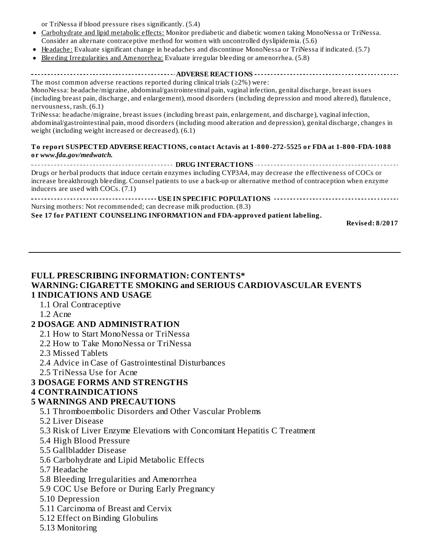or TriNessa if blood pressure rises significantly. (5.4)

- Carbohydrate and lipid metabolic effects: Monitor prediabetic and diabetic women taking MonoNessa or TriNessa. Consider an alternate contraceptive method for women with uncontrolled dyslipidemia. (5.6)
- Headache: Evaluate significant change in headaches and discontinue MonoNessa or TriNessa if indicated. (5.7)
- Bleeding Irregularities and Amenorrhea: Evaluate irregular bleeding or amenorrhea. (5.8)  $\bullet$

**ADVERSE REACTIONS**

The most common adverse reactions reported during clinical trials ( $\geq$ 2%) were: MonoNessa: headache/migraine, abdominal/gastrointestinal pain, vaginal infection, genital discharge, breast issues (including breast pain, discharge, and enlargement), mood disorders (including depression and mood altered), flatulence, nervousness, rash. (6.1)

TriNessa: headache/migraine, breast issues (including breast pain, enlargement, and discharge), vaginal infection, abdominal/gastrointestinal pain, mood disorders (including mood alteration and depression), genital discharge, changes in weight (including weight increased or decreased). (6.1)

#### **To report SUSPECTED ADVERSE REACTIONS, contact Actavis at 1-800-272-5525 or FDA at 1-800-FDA-1088 or** *www.fda.gov/medwatch.*

**DRUG INTERACTIONS** Drugs or herbal products that induce certain enzymes including CYP3A4, may decrease the effectiveness of COCs or increase breakthrough bleeding. Counsel patients to use a back-up or alternative method of contraception when enzyme inducers are used with COCs. (7.1)

**USEABLE POPULATIONS ACCOMMODATIONS ACCOMMODATIONS** *BOODULATIONS BOODULATIONS* Nursing mothers: Not recommended; can decrease milk production. (8.3) **See 17 for PATIENT COUNSELING INFORMATION and FDA-approved patient labeling.**

**Revised: 8/2017**

#### **FULL PRESCRIBING INFORMATION: CONTENTS\* WARNING: CIGARETTE SMOKING and SERIOUS CARDIOVASCULAR EVENTS 1 INDICATIONS AND USAGE**

#### 1.1 Oral Contraceptive

1.2 Acne

#### **2 DOSAGE AND ADMINISTRATION**

- 2.1 How to Start MonoNessa or TriNessa
- 2.2 How to Take MonoNessa or TriNessa

2.3 Missed Tablets

- 2.4 Advice in Case of Gastrointestinal Disturbances
- 2.5 TriNessa Use for Acne

# **3 DOSAGE FORMS AND STRENGTHS**

#### **4 CONTRAINDICATIONS**

#### **5 WARNINGS AND PRECAUTIONS**

- 5.1 Thromboembolic Disorders and Other Vascular Problems
- 5.2 Liver Disease
- 5.3 Risk of Liver Enzyme Elevations with Concomitant Hepatitis C Treatment
- 5.4 High Blood Pressure
- 5.5 Gallbladder Disease
- 5.6 Carbohydrate and Lipid Metabolic Effects
- 5.7 Headache
- 5.8 Bleeding Irregularities and Amenorrhea
- 5.9 COC Use Before or During Early Pregnancy
- 5.10 Depression
- 5.11 Carcinoma of Breast and Cervix
- 5.12 Effect on Binding Globulins
- 5.13 Monitoring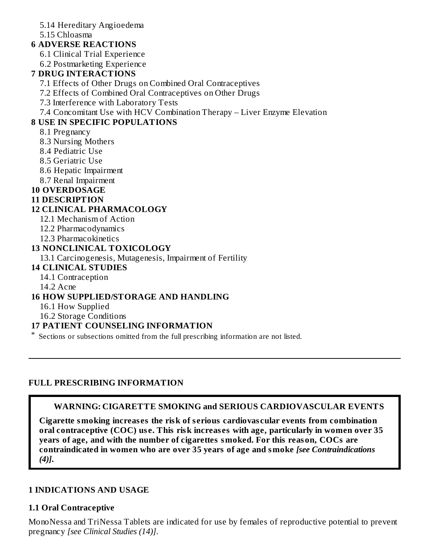5.14 Hereditary Angioedema

#### 5.15 Chloasma

### **6 ADVERSE REACTIONS**

6.1 Clinical Trial Experience

6.2 Postmarketing Experience

# **7 DRUG INTERACTIONS**

7.1 Effects of Other Drugs on Combined Oral Contraceptives

7.2 Effects of Combined Oral Contraceptives on Other Drugs

7.3 Interference with Laboratory Tests

7.4 Concomitant Use with HCV Combination Therapy – Liver Enzyme Elevation

# **8 USE IN SPECIFIC POPULATIONS**

8.1 Pregnancy

8.3 Nursing Mothers

- 8.4 Pediatric Use
- 8.5 Geriatric Use
- 8.6 Hepatic Impairment
- 8.7 Renal Impairment

# **10 OVERDOSAGE**

### **11 DESCRIPTION**

### **12 CLINICAL PHARMACOLOGY**

12.1 Mechanism of Action

12.2 Pharmacodynamics

12.3 Pharmacokinetics

### **13 NONCLINICAL TOXICOLOGY**

13.1 Carcinogenesis, Mutagenesis, Impairment of Fertility

#### **14 CLINICAL STUDIES**

14.1 Contraception

14.2 Acne

#### **16 HOW SUPPLIED/STORAGE AND HANDLING**

16.1 How Supplied

16.2 Storage Conditions

#### **17 PATIENT COUNSELING INFORMATION**

\* Sections or subsections omitted from the full prescribing information are not listed.

#### **FULL PRESCRIBING INFORMATION**

#### **WARNING: CIGARETTE SMOKING and SERIOUS CARDIOVASCULAR EVENTS**

**Cigarette smoking increas es the risk of s erious cardiovas cular events from combination oral contraceptive (COC) us e. This risk increas es with age, particularly in women over 35 years of age, and with the number of cigarettes smoked. For this reason, COCs are contraindicated in women who are over 35 years of age and smoke** *[see Contraindications (4)]***.**

#### **1 INDICATIONS AND USAGE**

# **1.1 Oral Contraceptive**

MonoNessa and TriNessa Tablets are indicated for use by females of reproductive potential to prevent pregnancy *[see Clinical Studies (14)]*.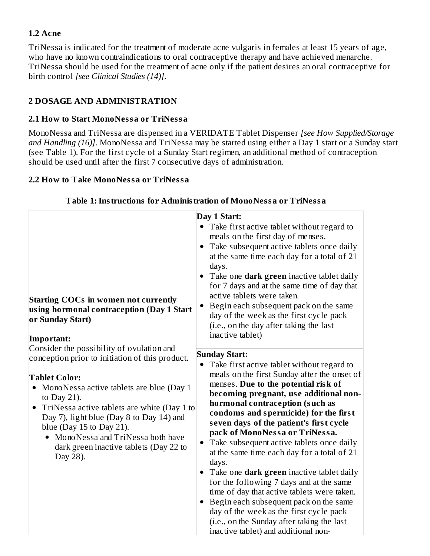### **1.2 Acne**

TriNessa is indicated for the treatment of moderate acne vulgaris in females at least 15 years of age, who have no known contraindications to oral contraceptive therapy and have achieved menarche. TriNessa should be used for the treatment of acne only if the patient desires an oral contraceptive for birth control *[see Clinical Studies (14)]*.

# **2 DOSAGE AND ADMINISTRATION**

### **2.1 How to Start MonoNessa or TriNessa**

MonoNessa and TriNessa are dispensed in a VERIDATE Tablet Dispenser *[see How Supplied/Storage and Handling (16)]*. MonoNessa and TriNessa may be started using either a Day 1 start or a Sunday start (see Table 1). For the first cycle of a Sunday Start regimen, an additional method of contraception should be used until after the first 7 consecutive days of administration.

### **2.2 How to Take MonoNessa or TriNessa**

| Day 1 Start:<br>• Take first active tablet without regard to<br>meals on the first day of menses.<br>• Take subsequent active tablets once daily<br>at the same time each day for a total of 21<br>days.<br>Take one <b>dark green</b> inactive tablet daily<br>for 7 days and at the same time of day that<br>active tablets were taken.<br><b>Starting COCs in women not currently</b><br>Begin each subsequent pack on the same<br>using hormonal contraception (Day 1 Start<br>day of the week as the first cycle pack<br>or Sunday Start)<br>(i.e., on the day after taking the last<br>inactive tablet)<br>Important:<br>Consider the possibility of ovulation and<br><b>Sunday Start:</b><br>conception prior to initiation of this product.<br>Take first active tablet without regard to<br>$\bullet$<br>meals on the first Sunday after the onset of<br><b>Tablet Color:</b><br>menses. Due to the potential risk of<br>MonoNessa active tablets are blue (Day 1<br>becoming pregnant, use additional non-<br>to Day 21).<br>hormonal contraception (such as<br>TriNessa active tablets are white (Day 1 to<br>$\bullet$<br>condoms and spermicide) for the first<br>Day 7), light blue (Day 8 to Day 14) and<br>seven days of the patient's first cycle<br>blue (Day $15$ to Day $21$ ).<br>pack of MonoNessa or TriNessa.<br>MonoNessa and TriNessa both have<br>Take subsequent active tablets once daily<br>$\bullet$<br>dark green inactive tablets (Day 22 to<br>at the same time each day for a total of 21 |
|------------------------------------------------------------------------------------------------------------------------------------------------------------------------------------------------------------------------------------------------------------------------------------------------------------------------------------------------------------------------------------------------------------------------------------------------------------------------------------------------------------------------------------------------------------------------------------------------------------------------------------------------------------------------------------------------------------------------------------------------------------------------------------------------------------------------------------------------------------------------------------------------------------------------------------------------------------------------------------------------------------------------------------------------------------------------------------------------------------------------------------------------------------------------------------------------------------------------------------------------------------------------------------------------------------------------------------------------------------------------------------------------------------------------------------------------------------------------------------------------------------------------------|
| Day 28).<br>days.<br>Take one <b>dark green</b> inactive tablet daily<br>for the following 7 days and at the same<br>time of day that active tablets were taken.<br>Begin each subsequent pack on the same<br>day of the week as the first cycle pack<br>(i.e., on the Sunday after taking the last                                                                                                                                                                                                                                                                                                                                                                                                                                                                                                                                                                                                                                                                                                                                                                                                                                                                                                                                                                                                                                                                                                                                                                                                                          |

#### **Table 1:Instructions for Administration of MonoNessa or TriNessa**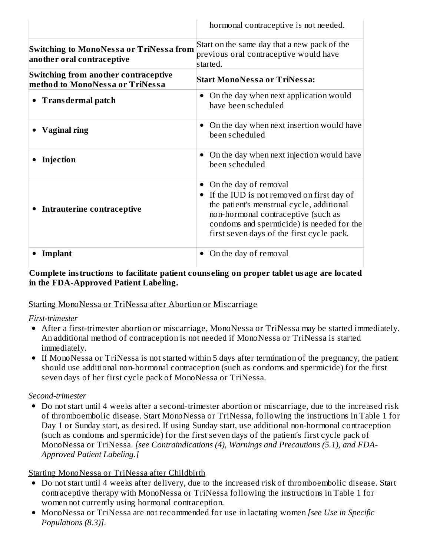|                                                                                | hormonal contraceptive is not needed.                                                                                                                                                                                                            |
|--------------------------------------------------------------------------------|--------------------------------------------------------------------------------------------------------------------------------------------------------------------------------------------------------------------------------------------------|
| Switching to MonoNessa or TriNessa from<br>another oral contraceptive          | Start on the same day that a new pack of the<br>previous oral contraceptive would have<br>started.                                                                                                                                               |
| <b>Switching from another contraceptive</b><br>method to MonoNessa or TriNessa | <b>Start MonoNessa or TriNessa:</b>                                                                                                                                                                                                              |
| • Trans dermal patch                                                           | On the day when next application would<br>have been scheduled                                                                                                                                                                                    |
| <b>Vaginal ring</b>                                                            | On the day when next insertion would have<br>been scheduled                                                                                                                                                                                      |
| Injection                                                                      | On the day when next injection would have<br>been scheduled                                                                                                                                                                                      |
| Intrauterine contraceptive                                                     | On the day of removal<br>If the IUD is not removed on first day of<br>the patient's menstrual cycle, additional<br>non-hormonal contraceptive (such as<br>condoms and spermicide) is needed for the<br>first seven days of the first cycle pack. |
| Implant                                                                        | On the day of removal<br>٠                                                                                                                                                                                                                       |

#### **Complete instructions to facilitate patient couns eling on proper tablet usage are located in the FDA-Approved Patient Labeling.**

#### Starting MonoNessa or TriNessa after Abortion or Miscarriage

#### *First-trimester*

- After a first-trimester abortion or miscarriage, MonoNessa or TriNessa may be started immediately. An additional method of contraception is not needed if MonoNessa or TriNessa is started immediately.
- If MonoNessa or TriNessa is not started within 5 days after termination of the pregnancy, the patient should use additional non-hormonal contraception (such as condoms and spermicide) for the first seven days of her first cycle pack of MonoNessa or TriNessa.

#### *Second-trimester*

Do not start until 4 weeks after a second-trimester abortion or miscarriage, due to the increased risk of thromboembolic disease. Start MonoNessa or TriNessa, following the instructions in Table 1 for Day 1 or Sunday start, as desired. If using Sunday start, use additional non-hormonal contraception (such as condoms and spermicide) for the first seven days of the patient's first cycle pack of MonoNessa or TriNessa. *[see Contraindications (4), Warnings and Precautions (5.1), and FDA-Approved Patient Labeling.]*

#### Starting MonoNessa or TriNessa after Childbirth

- Do not start until 4 weeks after delivery, due to the increased risk of thromboembolic disease. Start contraceptive therapy with MonoNessa or TriNessa following the instructions in Table 1 for women not currently using hormonal contraception.
- MonoNessa or TriNessa are not recommended for use in lactating women *[see Use in Specific Populations (8.3)]*.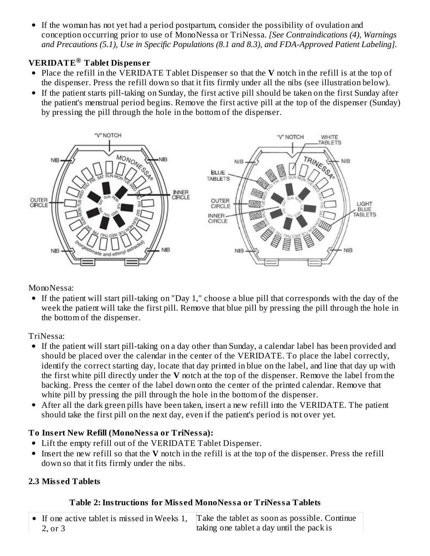If the woman has not yet had a period postpartum, consider the possibility of ovulation and conception occurring prior to use of MonoNessa or TriNessa. *[See Contraindications (4), Warnings and Precautions (5.1), Use in Specific Populations (8.1 and 8.3), and FDA-Approved Patient Labeling].*

# **VERIDATE Tablet Dispens er ®**

- Place the refill in the VERIDATE Tablet Dispenser so that the **V** notch in the refill is at the top of the dispenser. Press the refill down so that it fits firmly under all the nibs (see illustration below).
- If the patient starts pill-taking on Sunday, the first active pill should be taken on the first Sunday after the patient's menstrual period begins. Remove the first active pill at the top of the dispenser (Sunday) by pressing the pill through the hole in the bottom of the dispenser.



MonoNessa:

If the patient will start pill-taking on "Day 1," choose a blue pill that corresponds with the day of the week the patient will take the first pill. Remove that blue pill by pressing the pill through the hole in the bottom of the dispenser.

TriNessa:

- If the patient will start pill-taking on a day other than Sunday, a calendar label has been provided and should be placed over the calendar in the center of the VERIDATE. To place the label correctly, identify the correct starting day, locate that day printed in blue on the label, and line that day up with the first white pill directly under the **V** notch at the top of the dispenser. Remove the label from the backing. Press the center of the label down onto the center of the printed calendar. Remove that white pill by pressing the pill through the hole in the bottom of the dispenser.
- After all the dark green pills have been taken, insert a new refill into the VERIDATE. The patient should take the first pill on the next day, even if the patient's period is not over yet.

# **To Ins ert New Refill (MonoNessa or TriNessa):**

- Lift the empty refill out of the VERIDATE Tablet Dispenser.
- Insert the new refill so that the **V** notch in the refill is at the top of the dispenser. Press the refill down so that it fits firmly under the nibs.

# **2.3 Miss ed Tablets**

# **Table 2:Instructions for Miss ed MonoNessa or TriNessa Tablets**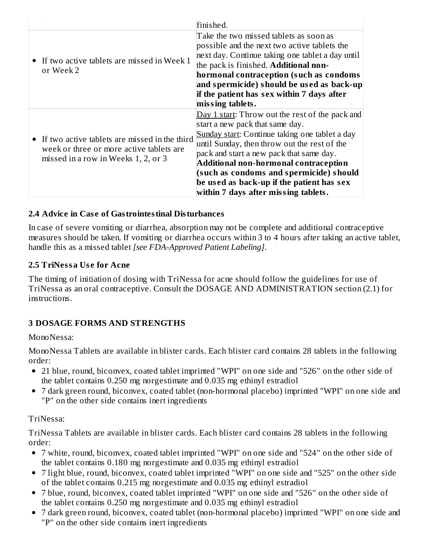|                                                                                                                                    | finished.                                                                                                                                                                                                                                                                                                                                                                                                 |
|------------------------------------------------------------------------------------------------------------------------------------|-----------------------------------------------------------------------------------------------------------------------------------------------------------------------------------------------------------------------------------------------------------------------------------------------------------------------------------------------------------------------------------------------------------|
| • If two active tablets are missed in Week 1<br>or Week 2                                                                          | Take the two missed tablets as soon as<br>possible and the next two active tablets the<br>next day. Continue taking one tablet a day until<br>the pack is finished. Additional non-<br>hormonal contraception (such as condoms                                                                                                                                                                            |
|                                                                                                                                    | and spermicide) should be used as back-up<br>if the patient has sex within 7 days after<br>missing tablets.                                                                                                                                                                                                                                                                                               |
| • If two active tablets are missed in the third<br>week or three or more active tablets are<br>missed in a row in Weeks 1, 2, or 3 | Day 1 start: Throw out the rest of the pack and<br>start a new pack that same day.<br>Sunday start: Continue taking one tablet a day<br>until Sunday, then throw out the rest of the<br>pack and start a new pack that same day.<br>Additional non-hormonal contraception<br>(such as condoms and spermicide) should<br>be used as back-up if the patient has sex<br>within 7 days after missing tablets. |

#### **2.4 Advice in Cas e of Gastrointestinal Disturbances**

In case of severe vomiting or diarrhea, absorption may not be complete and additional contraceptive measures should be taken. If vomiting or diarrhea occurs within 3 to 4 hours after taking an active tablet, handle this as a missed tablet *[see FDA-Approved Patient Labeling]*.

#### **2.5 TriNessa Us e for Acne**

The timing of initiation of dosing with TriNessa for acne should follow the guidelines for use of TriNessa as an oral contraceptive. Consult the DOSAGE AND ADMINISTRATION section (2.1) for instructions.

# **3 DOSAGE FORMS AND STRENGTHS**

# MonoNessa:

MonoNessa Tablets are available in blister cards. Each blister card contains 28 tablets in the following order:

- 21 blue, round, biconvex, coated tablet imprinted "WPI" on one side and "526" on the other side of the tablet contains 0.250 mg norgestimate and 0.035 mg ethinyl estradiol
- 7 dark green round, biconvex, coated tablet (non-hormonal placebo) imprinted "WPI" on one side and "P" on the other side contains inert ingredients

# TriNessa:

TriNessa Tablets are available in blister cards. Each blister card contains 28 tablets in the following order:

- 7 white, round, biconvex, coated tablet imprinted "WPI" on one side and "524" on the other side of the tablet contains 0.180 mg norgestimate and 0.035 mg ethinyl estradiol
- 7 light blue, round, biconvex, coated tablet imprinted "WPI" on one side and "525" on the other side of the tablet contains 0.215 mg norgestimate and 0.035 mg ethinyl estradiol
- 7 blue, round, biconvex, coated tablet imprinted "WPI" on one side and "526" on the other side of the tablet contains 0.250 mg norgestimate and 0.035 mg ethinyl estradiol
- 7 dark green round, biconvex, coated tablet (non-hormonal placebo) imprinted "WPI" on one side and "P" on the other side contains inert ingredients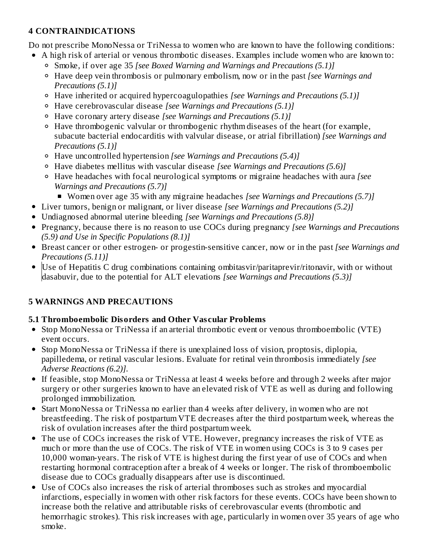# **4 CONTRAINDICATIONS**

Do not prescribe MonoNessa or TriNessa to women who are known to have the following conditions:

- A high risk of arterial or venous thrombotic diseases. Examples include women who are known to:
	- Smoke, if over age 35 *[see Boxed Warning and Warnings and Precautions (5.1)]*
	- Have deep vein thrombosis or pulmonary embolism, now or in the past *[see Warnings and Precautions (5.1)]*
	- Have inherited or acquired hypercoagulopathies *[see Warnings and Precautions (5.1)]*
	- Have cerebrovascular disease *[see Warnings and Precautions (5.1)]*
	- Have coronary artery disease *[see Warnings and Precautions (5.1)]*
	- Have thrombogenic valvular or thrombogenic rhythm diseases of the heart (for example, subacute bacterial endocarditis with valvular disease, or atrial fibrillation) *[see Warnings and Precautions (5.1)]*
	- Have uncontrolled hypertension *[see Warnings and Precautions (5.4)]*
	- Have diabetes mellitus with vascular disease *[see Warnings and Precautions (5.6)]*
	- Have headaches with focal neurological symptoms or migraine headaches with aura *[see Warnings and Precautions (5.7)]*
		- Women over age 35 with any migraine headaches *[see Warnings and Precautions (5.7)]*
- Liver tumors, benign or malignant, or liver disease *[see Warnings and Precautions (5.2)]*
- Undiagnosed abnormal uterine bleeding *[see Warnings and Precautions (5.8)]*
- Pregnancy, because there is no reason to use COCs during pregnancy *[see Warnings and Precautions (5.9) and Use in Specific Populations (8.1)]*
- Breast cancer or other estrogen- or progestin-sensitive cancer, now or in the past *[see Warnings and Precautions (5.11)]*
- Use of Hepatitis C drug combinations containing ombitasvir/paritaprevir/ritonavir, with or without dasabuvir, due to the potential for ALT elevations *[see Warnings and Precautions (5.3)]*

# **5 WARNINGS AND PRECAUTIONS**

# **5.1 Thromboembolic Disorders and Other Vas cular Problems**

- Stop MonoNessa or TriNessa if an arterial thrombotic event or venous thromboembolic (VTE) event occurs.
- Stop MonoNessa or TriNessa if there is unexplained loss of vision, proptosis, diplopia, papilledema, or retinal vascular lesions. Evaluate for retinal vein thrombosis immediately *[see Adverse Reactions (6.2)]*.
- If feasible, stop MonoNessa or TriNessa at least 4 weeks before and through 2 weeks after major surgery or other surgeries known to have an elevated risk of VTE as well as during and following prolonged immobilization.
- Start MonoNessa or TriNessa no earlier than 4 weeks after delivery, in women who are not breastfeeding. The risk of postpartum VTE decreases after the third postpartum week, whereas the risk of ovulation increases after the third postpartum week.
- The use of COCs increases the risk of VTE. However, pregnancy increases the risk of VTE as much or more than the use of COCs. The risk of VTE in women using COCs is 3 to 9 cases per 10,000 woman-years. The risk of VTE is highest during the first year of use of COCs and when restarting hormonal contraception after a break of 4 weeks or longer. The risk of thromboembolic disease due to COCs gradually disappears after use is discontinued.
- Use of COCs also increases the risk of arterial thromboses such as strokes and myocardial infarctions, especially in women with other risk factors for these events. COCs have been shown to increase both the relative and attributable risks of cerebrovascular events (thrombotic and hemorrhagic strokes). This risk increases with age, particularly in women over 35 years of age who smoke.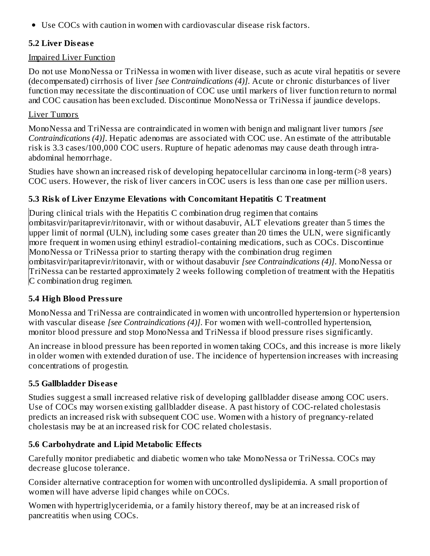Use COCs with caution in women with cardiovascular disease risk factors.

### **5.2 Liver Dis eas e**

### Impaired Liver Function

Do not use MonoNessa or TriNessa in women with liver disease, such as acute viral hepatitis or severe (decompensated) cirrhosis of liver *[see Contraindications (4)]*. Acute or chronic disturbances of liver function may necessitate the discontinuation of COC use until markers of liver function return to normal and COC causation has been excluded. Discontinue MonoNessa or TriNessa if jaundice develops.

# Liver Tumors

MonoNessa and TriNessa are contraindicated in women with benign and malignant liver tumors *[see Contraindications (4)]*. Hepatic adenomas are associated with COC use. An estimate of the attributable risk is 3.3 cases/100,000 COC users. Rupture of hepatic adenomas may cause death through intraabdominal hemorrhage.

Studies have shown an increased risk of developing hepatocellular carcinoma in long-term (>8 years) COC users. However, the risk of liver cancers in COC users is less than one case per million users.

# **5.3 Risk of Liver Enzyme Elevations with Concomitant Hepatitis C Treatment**

During clinical trials with the Hepatitis C combination drug regimen that contains ombitasvir/paritaprevir/ritonavir, with or without dasabuvir, ALT elevations greater than 5 times the upper limit of normal (ULN), including some cases greater than 20 times the ULN, were significantly more frequent in women using ethinyl estradiol-containing medications, such as COCs. Discontinue MonoNessa or TriNessa prior to starting therapy with the combination drug regimen ombitasvir/paritaprevir/ritonavir, with or without dasabuvir *[see Contraindications (4)]*. MonoNessa or TriNessa can be restarted approximately 2 weeks following completion of treatment with the Hepatitis C combination drug regimen.

# **5.4 High Blood Pressure**

MonoNessa and TriNessa are contraindicated in women with uncontrolled hypertension or hypertension with vascular disease *[see Contraindications (4)]*. For women with well-controlled hypertension, monitor blood pressure and stop MonoNessa and TriNessa if blood pressure rises significantly.

An increase in blood pressure has been reported in women taking COCs, and this increase is more likely in older women with extended duration of use. The incidence of hypertension increases with increasing concentrations of progestin.

# **5.5 Gallbladder Dis eas e**

Studies suggest a small increased relative risk of developing gallbladder disease among COC users. Use of COCs may worsen existing gallbladder disease. A past history of COC-related cholestasis predicts an increased risk with subsequent COC use. Women with a history of pregnancy-related cholestasis may be at an increased risk for COC related cholestasis.

# **5.6 Carbohydrate and Lipid Metabolic Effects**

Carefully monitor prediabetic and diabetic women who take MonoNessa or TriNessa. COCs may decrease glucose tolerance.

Consider alternative contraception for women with uncontrolled dyslipidemia. A small proportion of women will have adverse lipid changes while on COCs.

Women with hypertriglyceridemia, or a family history thereof, may be at an increased risk of pancreatitis when using COCs.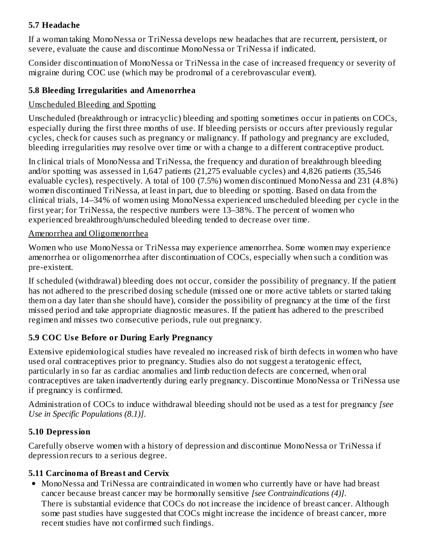# **5.7 Headache**

If a woman taking MonoNessa or TriNessa develops new headaches that are recurrent, persistent, or severe, evaluate the cause and discontinue MonoNessa or TriNessa if indicated.

Consider discontinuation of MonoNessa or TriNessa in the case of increased frequency or severity of migraine during COC use (which may be prodromal of a cerebrovascular event).

# **5.8 Bleeding Irregularities and Amenorrhea**

### Unscheduled Bleeding and Spotting

Unscheduled (breakthrough or intracyclic) bleeding and spotting sometimes occur in patients on COCs, especially during the first three months of use. If bleeding persists or occurs after previously regular cycles, check for causes such as pregnancy or malignancy. If pathology and pregnancy are excluded, bleeding irregularities may resolve over time or with a change to a different contraceptive product.

In clinical trials of MonoNessa and TriNessa, the frequency and duration of breakthrough bleeding and/or spotting was assessed in 1,647 patients (21,275 evaluable cycles) and 4,826 patients (35,546 evaluable cycles), respectively. A total of 100 (7.5%) women discontinued MonoNessa and 231 (4.8%) women discontinued TriNessa, at least in part, due to bleeding or spotting. Based on data from the clinical trials, 14–34% of women using MonoNessa experienced unscheduled bleeding per cycle in the first year; for TriNessa, the respective numbers were 13–38%. The percent of women who experienced breakthrough/unscheduled bleeding tended to decrease over time.

### Amenorrhea and Oligomenorrhea

Women who use MonoNessa or TriNessa may experience amenorrhea. Some women may experience amenorrhea or oligomenorrhea after discontinuation of COCs, especially when such a condition was pre-existent.

If scheduled (withdrawal) bleeding does not occur, consider the possibility of pregnancy. If the patient has not adhered to the prescribed dosing schedule (missed one or more active tablets or started taking them on a day later than she should have), consider the possibility of pregnancy at the time of the first missed period and take appropriate diagnostic measures. If the patient has adhered to the prescribed regimen and misses two consecutive periods, rule out pregnancy.

# **5.9 COC Us e Before or During Early Pregnancy**

Extensive epidemiological studies have revealed no increased risk of birth defects in women who have used oral contraceptives prior to pregnancy. Studies also do not suggest a teratogenic effect, particularly in so far as cardiac anomalies and limb reduction defects are concerned, when oral contraceptives are taken inadvertently during early pregnancy. Discontinue MonoNessa or TriNessa use if pregnancy is confirmed.

Administration of COCs to induce withdrawal bleeding should not be used as a test for pregnancy *[see Use in Specific Populations (8.1)]*.

# **5.10 Depression**

Carefully observe women with a history of depression and discontinue MonoNessa or TriNessa if depression recurs to a serious degree.

# **5.11 Carcinoma of Breast and Cervix**

MonoNessa and TriNessa are contraindicated in women who currently have or have had breast cancer because breast cancer may be hormonally sensitive *[see Contraindications (4)]*. There is substantial evidence that COCs do not increase the incidence of breast cancer. Although some past studies have suggested that COCs might increase the incidence of breast cancer, more recent studies have not confirmed such findings.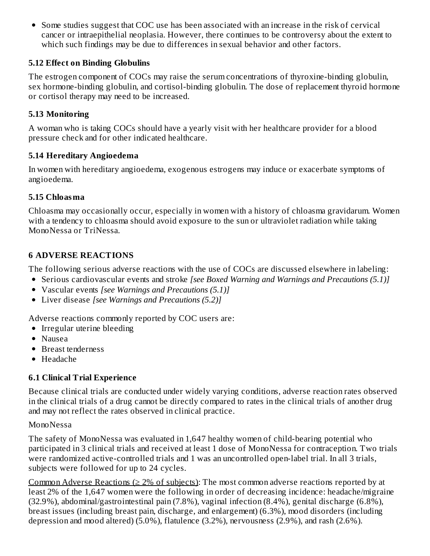Some studies suggest that COC use has been associated with an increase in the risk of cervical cancer or intraepithelial neoplasia. However, there continues to be controversy about the extent to which such findings may be due to differences in sexual behavior and other factors.

### **5.12 Effect on Binding Globulins**

The estrogen component of COCs may raise the serum concentrations of thyroxine-binding globulin, sex hormone-binding globulin, and cortisol-binding globulin. The dose of replacement thyroid hormone or cortisol therapy may need to be increased.

#### **5.13 Monitoring**

A woman who is taking COCs should have a yearly visit with her healthcare provider for a blood pressure check and for other indicated healthcare.

### **5.14 Hereditary Angioedema**

In women with hereditary angioedema, exogenous estrogens may induce or exacerbate symptoms of angioedema.

### **5.15 Chloasma**

Chloasma may occasionally occur, especially in women with a history of chloasma gravidarum. Women with a tendency to chloasma should avoid exposure to the sun or ultraviolet radiation while taking MonoNessa or TriNessa.

# **6 ADVERSE REACTIONS**

The following serious adverse reactions with the use of COCs are discussed elsewhere in labeling:

- Serious cardiovascular events and stroke *[see Boxed Warning and Warnings and Precautions (5.1)]*
- Vascular events *[see Warnings and Precautions (5.1)]*
- Liver disease *[see Warnings and Precautions (5.2)]*

Adverse reactions commonly reported by COC users are:

- Irregular uterine bleeding
- Nausea
- Breast tenderness
- Headache

# **6.1 Clinical Trial Experience**

Because clinical trials are conducted under widely varying conditions, adverse reaction rates observed in the clinical trials of a drug cannot be directly compared to rates in the clinical trials of another drug and may not reflect the rates observed in clinical practice.

#### MonoNessa

The safety of MonoNessa was evaluated in 1,647 healthy women of child-bearing potential who participated in 3 clinical trials and received at least 1 dose of MonoNessa for contraception. Two trials were randomized active-controlled trials and 1 was an uncontrolled open-label trial. In all 3 trials, subjects were followed for up to 24 cycles.

Common Adverse Reactions ( $\geq 2\%$  of subjects): The most common adverse reactions reported by at least 2% of the 1,647 women were the following in order of decreasing incidence: headache/migraine (32.9%), abdominal/gastrointestinal pain (7.8%), vaginal infection (8.4%), genital discharge (6.8%), breast issues (including breast pain, discharge, and enlargement) (6.3%), mood disorders (including depression and mood altered) (5.0%), flatulence (3.2%), nervousness (2.9%), and rash (2.6%).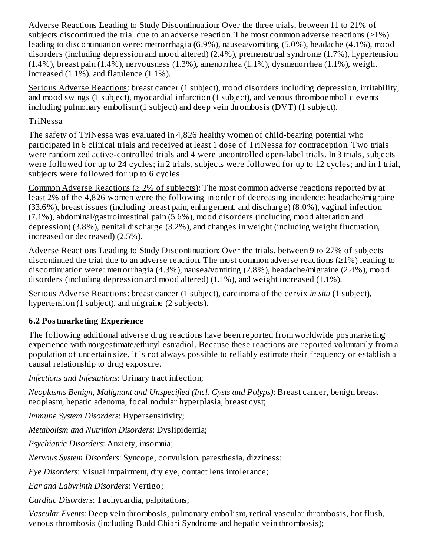Adverse Reactions Leading to Study Discontinuation: Over the three trials, between 11 to 21% of subjects discontinued the trial due to an adverse reaction. The most common adverse reactions ( $\geq 1\%$ ) leading to discontinuation were: metrorrhagia (6.9%), nausea/vomiting (5.0%), headache (4.1%), mood disorders (including depression and mood altered) (2.4%), premenstrual syndrome (1.7%), hypertension (1.4%), breast pain (1.4%), nervousness (1.3%), amenorrhea (1.1%), dysmenorrhea (1.1%), weight increased (1.1%), and flatulence (1.1%).

Serious Adverse Reactions: breast cancer (1 subject), mood disorders including depression, irritability, and mood swings (1 subject), myocardial infarction (1 subject), and venous thromboembolic events including pulmonary embolism (1 subject) and deep vein thrombosis (DVT) (1 subject).

### TriNessa

The safety of TriNessa was evaluated in 4,826 healthy women of child-bearing potential who participated in 6 clinical trials and received at least 1 dose of TriNessa for contraception. Two trials were randomized active-controlled trials and 4 were uncontrolled open-label trials. In 3 trials, subjects were followed for up to 24 cycles; in 2 trials, subjects were followed for up to 12 cycles; and in 1 trial, subjects were followed for up to 6 cycles.

Common Adverse Reactions ( $\geq$  2% of subjects): The most common adverse reactions reported by at least 2% of the 4,826 women were the following in order of decreasing incidence: headache/migraine (33.6%), breast issues (including breast pain, enlargement, and discharge) (8.0%), vaginal infection (7.1%), abdominal/gastrointestinal pain (5.6%), mood disorders (including mood alteration and depression) (3.8%), genital discharge (3.2%), and changes in weight (including weight fluctuation, increased or decreased) (2.5%).

Adverse Reactions Leading to Study Discontinuation: Over the trials, between 9 to 27% of subjects discontinued the trial due to an adverse reaction. The most common adverse reactions ( $\geq$ 1%) leading to discontinuation were: metrorrhagia (4.3%), nausea/vomiting (2.8%), headache/migraine (2.4%), mood disorders (including depression and mood altered) (1.1%), and weight increased (1.1%).

Serious Adverse Reactions: breast cancer (1 subject), carcinoma of the cervix *in situ* (1 subject), hypertension (1 subject), and migraine (2 subjects).

# **6.2 Postmarketing Experience**

The following additional adverse drug reactions have been reported from worldwide postmarketing experience with norgestimate/ethinyl estradiol. Because these reactions are reported voluntarily from a population of uncertain size, it is not always possible to reliably estimate their frequency or establish a causal relationship to drug exposure.

*Infections and Infestations*: Urinary tract infection;

*Neoplasms Benign, Malignant and Unspecified (Incl. Cysts and Polyps)*: Breast cancer, benign breast neoplasm, hepatic adenoma, focal nodular hyperplasia, breast cyst;

*Immune System Disorders*: Hypersensitivity;

*Metabolism and Nutrition Disorders*: Dyslipidemia;

*Psychiatric Disorders*: Anxiety, insomnia;

*Nervous System Disorders*: Syncope, convulsion, paresthesia, dizziness;

*Eye Disorders*: Visual impairment, dry eye, contact lens intolerance;

*Ear and Labyrinth Disorders*: Vertigo;

*Cardiac Disorders*: Tachycardia, palpitations;

*Vascular Events*: Deep vein thrombosis, pulmonary embolism, retinal vascular thrombosis, hot flush, venous thrombosis (including Budd Chiari Syndrome and hepatic vein thrombosis);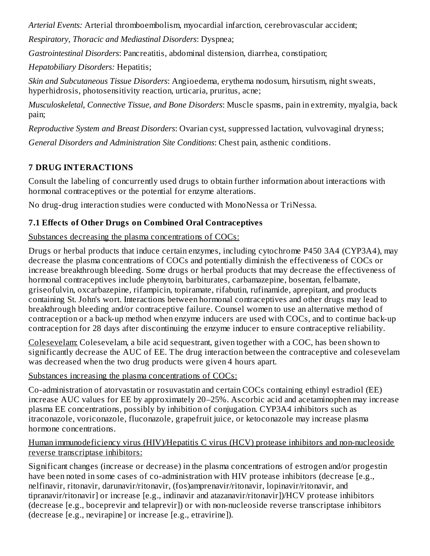*Arterial Events:* Arterial thromboembolism, myocardial infarction, cerebrovascular accident;

*Respiratory, Thoracic and Mediastinal Disorders*: Dyspnea;

*Gastrointestinal Disorders*: Pancreatitis, abdominal distension, diarrhea, constipation;

*Hepatobiliary Disorders:* Hepatitis;

*Skin and Subcutaneous Tissue Disorders*: Angioedema, erythema nodosum, hirsutism, night sweats, hyperhidrosis, photosensitivity reaction, urticaria, pruritus, acne;

*Musculoskeletal, Connective Tissue, and Bone Disorders*: Muscle spasms, pain in extremity, myalgia, back pain;

*Reproductive System and Breast Disorders*: Ovarian cyst, suppressed lactation, vulvovaginal dryness;

*General Disorders and Administration Site Conditions*: Chest pain, asthenic conditions.

# **7 DRUG INTERACTIONS**

Consult the labeling of concurrently used drugs to obtain further information about interactions with hormonal contraceptives or the potential for enzyme alterations.

No drug-drug interaction studies were conducted with MonoNessa or TriNessa.

# **7.1 Effects of Other Drugs on Combined Oral Contraceptives**

# Substances decreasing the plasma concentrations of COCs:

Drugs or herbal products that induce certain enzymes, including cytochrome P450 3A4 (CYP3A4), may decrease the plasma concentrations of COCs and potentially diminish the effectiveness of COCs or increase breakthrough bleeding. Some drugs or herbal products that may decrease the effectiveness of hormonal contraceptives include phenytoin, barbiturates, carbamazepine, bosentan, felbamate, griseofulvin, oxcarbazepine, rifampicin, topiramate, rifabutin, rufinamide, aprepitant, and products containing St. John's wort. Interactions between hormonal contraceptives and other drugs may lead to breakthrough bleeding and/or contraceptive failure. Counsel women to use an alternative method of contraception or a back-up method when enzyme inducers are used with COCs, and to continue back-up contraception for 28 days after discontinuing the enzyme inducer to ensure contraceptive reliability.

Colesevelam: Colesevelam, a bile acid sequestrant, given together with a COC, has been shown to significantly decrease the AUC of EE. The drug interaction between the contraceptive and colesevelam was decreased when the two drug products were given 4 hours apart.

# Substances increasing the plasma concentrations of COCs:

Co-administration of atorvastatin or rosuvastatin and certain COCs containing ethinyl estradiol (EE) increase AUC values for EE by approximately 20–25%. Ascorbic acid and acetaminophen may increase plasma EE concentrations, possibly by inhibition of conjugation. CYP3A4 inhibitors such as itraconazole, voriconazole, fluconazole, grapefruit juice, or ketoconazole may increase plasma hormone concentrations.

#### Human immunodeficiency virus (HIV)/Hepatitis C virus (HCV) protease inhibitors and non-nucleoside reverse transcriptase inhibitors:

Significant changes (increase or decrease) in the plasma concentrations of estrogen and/or progestin have been noted in some cases of co-administration with HIV protease inhibitors (decrease [e.g., nelfinavir, ritonavir, darunavir/ritonavir, (fos)amprenavir/ritonavir, lopinavir/ritonavir, and tipranavir/ritonavir] or increase [e.g., indinavir and atazanavir/ritonavir])/HCV protease inhibitors (decrease [e.g., boceprevir and telaprevir]) or with non-nucleoside reverse transcriptase inhibitors (decrease [e.g., nevirapine] or increase [e.g., etravirine]).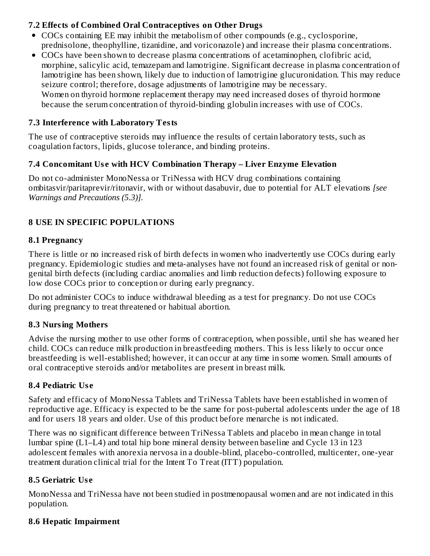# **7.2 Effects of Combined Oral Contraceptives on Other Drugs**

- COCs containing EE may inhibit the metabolism of other compounds (e.g., cyclosporine, prednisolone, theophylline, tizanidine, and voriconazole) and increase their plasma concentrations.
- COCs have been shown to decrease plasma concentrations of acetaminophen, clofibric acid, morphine, salicylic acid, temazepam and lamotrigine. Significant decrease in plasma concentration of lamotrigine has been shown, likely due to induction of lamotrigine glucuronidation. This may reduce seizure control; therefore, dosage adjustments of lamotrigine may be necessary. Women on thyroid hormone replacement therapy may need increased doses of thyroid hormone because the serum concentration of thyroid-binding globulin increases with use of COCs.

# **7.3 Interference with Laboratory Tests**

The use of contraceptive steroids may influence the results of certain laboratory tests, such as coagulation factors, lipids, glucose tolerance, and binding proteins.

# **7.4 Concomitant Us e with HCV Combination Therapy – Liver Enzyme Elevation**

Do not co-administer MonoNessa or TriNessa with HCV drug combinations containing ombitasvir/paritaprevir/ritonavir, with or without dasabuvir, due to potential for ALT elevations *[see Warnings and Precautions (5.3)].*

# **8 USE IN SPECIFIC POPULATIONS**

# **8.1 Pregnancy**

There is little or no increased risk of birth defects in women who inadvertently use COCs during early pregnancy. Epidemiologic studies and meta-analyses have not found an increased risk of genital or nongenital birth defects (including cardiac anomalies and limb reduction defects) following exposure to low dose COCs prior to conception or during early pregnancy.

Do not administer COCs to induce withdrawal bleeding as a test for pregnancy. Do not use COCs during pregnancy to treat threatened or habitual abortion.

# **8.3 Nursing Mothers**

Advise the nursing mother to use other forms of contraception, when possible, until she has weaned her child. COCs can reduce milk production in breastfeeding mothers. This is less likely to occur once breastfeeding is well-established; however, it can occur at any time in some women. Small amounts of oral contraceptive steroids and/or metabolites are present in breast milk.

# **8.4 Pediatric Us e**

Safety and efficacy of MonoNessa Tablets and TriNessa Tablets have been established in women of reproductive age. Efficacy is expected to be the same for post-pubertal adolescents under the age of 18 and for users 18 years and older. Use of this product before menarche is not indicated.

There was no significant difference between TriNessa Tablets and placebo in mean change in total lumbar spine (L1–L4) and total hip bone mineral density between baseline and Cycle 13 in 123 adolescent females with anorexia nervosa in a double-blind, placebo-controlled, multicenter, one-year treatment duration clinical trial for the Intent To Treat (ITT) population.

# **8.5 Geriatric Us e**

MonoNessa and TriNessa have not been studied in postmenopausal women and are not indicated in this population.

# **8.6 Hepatic Impairment**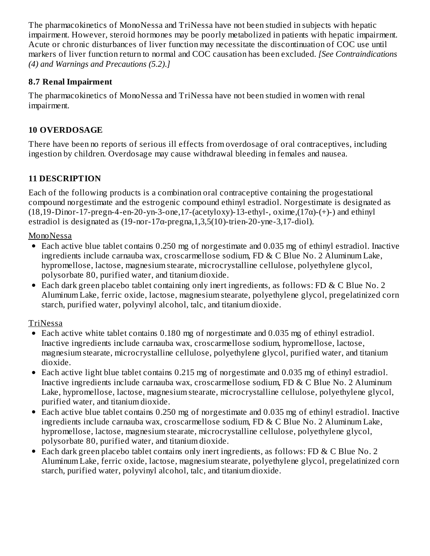The pharmacokinetics of MonoNessa and TriNessa have not been studied in subjects with hepatic impairment. However, steroid hormones may be poorly metabolized in patients with hepatic impairment. Acute or chronic disturbances of liver function may necessitate the discontinuation of COC use until markers of liver function return to normal and COC causation has been excluded. *[See Contraindications (4) and Warnings and Precautions (5.2)*.*]*

# **8.7 Renal Impairment**

The pharmacokinetics of MonoNessa and TriNessa have not been studied in women with renal impairment.

# **10 OVERDOSAGE**

There have been no reports of serious ill effects from overdosage of oral contraceptives, including ingestion by children. Overdosage may cause withdrawal bleeding in females and nausea.

# **11 DESCRIPTION**

Each of the following products is a combination oral contraceptive containing the progestational compound norgestimate and the estrogenic compound ethinyl estradiol. Norgestimate is designated as (18,19-Dinor-17-pregn-4-en-20-yn-3-one,17-(acetyloxy)-13-ethyl-, oxime, $(17\alpha)$ - $(+)$ -) and ethinyl estradiol is designated as  $(19$ -nor-17 $\alpha$ -pregna, 1,3,5 $(10)$ -trien-20-yne-3,17-diol).

MonoNessa

- Each active blue tablet contains 0.250 mg of norgestimate and 0.035 mg of ethinyl estradiol. Inactive ingredients include carnauba wax, croscarmellose sodium, FD & C Blue No. 2 Aluminum Lake, hypromellose, lactose, magnesium stearate, microcrystalline cellulose, polyethylene glycol, polysorbate 80, purified water, and titanium dioxide.
- Each dark green placebo tablet containing only inert ingredients, as follows: FD & C Blue No. 2 Aluminum Lake, ferric oxide, lactose, magnesium stearate, polyethylene glycol, pregelatinized corn starch, purified water, polyvinyl alcohol, talc, and titanium dioxide.

# TriNessa

- Each active white tablet contains 0.180 mg of norgestimate and 0.035 mg of ethinyl estradiol. Inactive ingredients include carnauba wax, croscarmellose sodium, hypromellose, lactose, magnesium stearate, microcrystalline cellulose, polyethylene glycol, purified water, and titanium dioxide.
- Each active light blue tablet contains 0.215 mg of norgestimate and 0.035 mg of ethinyl estradiol. Inactive ingredients include carnauba wax, croscarmellose sodium, FD & C Blue No. 2 Aluminum Lake, hypromellose, lactose, magnesium stearate, microcrystalline cellulose, polyethylene glycol, purified water, and titanium dioxide.
- Each active blue tablet contains 0.250 mg of norgestimate and 0.035 mg of ethinyl estradiol. Inactive ingredients include carnauba wax, croscarmellose sodium, FD & C Blue No. 2 Aluminum Lake, hypromellose, lactose, magnesium stearate, microcrystalline cellulose, polyethylene glycol, polysorbate 80, purified water, and titanium dioxide.
- Each dark green placebo tablet contains only inert ingredients, as follows: FD & C Blue No. 2  $\bullet$ Aluminum Lake, ferric oxide, lactose, magnesium stearate, polyethylene glycol, pregelatinized corn starch, purified water, polyvinyl alcohol, talc, and titanium dioxide.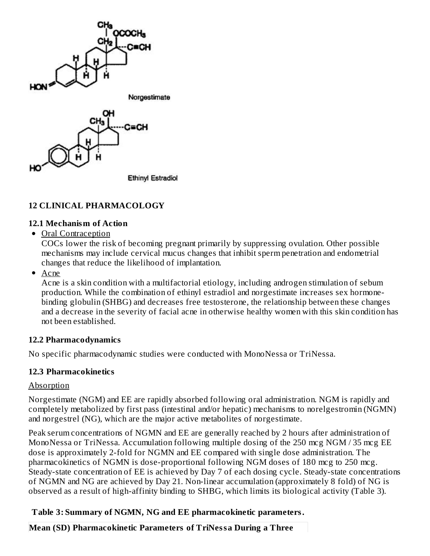

### **12 CLINICAL PHARMACOLOGY**

#### **12.1 Mechanism of Action**

• Oral Contraception

COCs lower the risk of becoming pregnant primarily by suppressing ovulation. Other possible mechanisms may include cervical mucus changes that inhibit sperm penetration and endometrial changes that reduce the likelihood of implantation.

• Acne

Acne is a skin condition with a multifactorial etiology, including androgen stimulation of sebum production. While the combination of ethinyl estradiol and norgestimate increases sex hormonebinding globulin (SHBG) and decreases free testosterone, the relationship between these changes and a decrease in the severity of facial acne in otherwise healthy women with this skin condition has not been established.

#### **12.2 Pharmacodynamics**

No specific pharmacodynamic studies were conducted with MonoNessa or TriNessa.

#### **12.3 Pharmacokinetics**

#### **Absorption**

Norgestimate (NGM) and EE are rapidly absorbed following oral administration. NGM is rapidly and completely metabolized by first pass (intestinal and/or hepatic) mechanisms to norelgestromin (NGMN) and norgestrel (NG), which are the major active metabolites of norgestimate.

Peak serum concentrations of NGMN and EE are generally reached by 2 hours after administration of MonoNessa or TriNessa. Accumulation following multiple dosing of the 250 mcg NGM / 35 mcg EE dose is approximately 2-fold for NGMN and EE compared with single dose administration. The pharmacokinetics of NGMN is dose-proportional following NGM doses of 180 mcg to 250 mcg. Steady-state concentration of EE is achieved by Day 7 of each dosing cycle. Steady-state concentrations of NGMN and NG are achieved by Day 21. Non-linear accumulation (approximately 8 fold) of NG is observed as a result of high-affinity binding to SHBG, which limits its biological activity (Table 3).

#### **Table 3: Summary of NGMN, NG and EE pharmacokinetic parameters.**

**Mean (SD) Pharmacokinetic Parameters of TriNessa During a Three**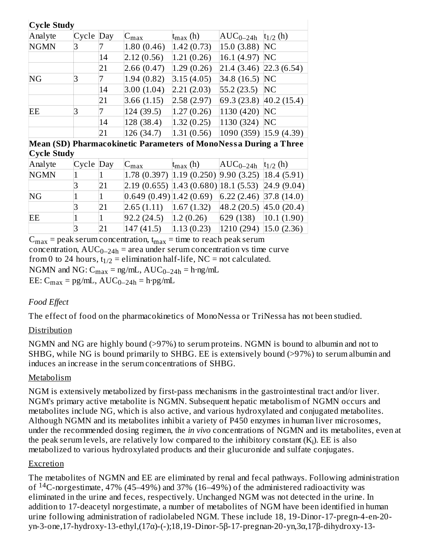| <b>Cycle Study</b>                                               |       |              |                           |                                         |               |                  |
|------------------------------------------------------------------|-------|--------------|---------------------------|-----------------------------------------|---------------|------------------|
| Analyte                                                          | Cycle | Day          | $C_{\rm max}$             | $t_{\rm max}$ (h)                       | $AUC_{0-24h}$ | $t_{1/2}$ (h)    |
| <b>NGMN</b>                                                      | 3     | 7            | 1.80(0.46)                | 1.42(0.73)                              | 15.0 (3.88)   | <b>NC</b>        |
|                                                                  |       | 14           | 2.12(0.56)                | 1.21(0.26)                              | 16.1 (4.97)   | NC               |
|                                                                  |       | 21           | 2.66 (0.47)               | 1.29(0.26)                              | 21.4 (3.46)   | 22.3(6.54)       |
| NG                                                               | 3     | 7            | 1.94(0.82)                | 3.15(4.05)                              | 34.8 (16.5)   | <b>NC</b>        |
|                                                                  |       | 14           | 3.00(1.04)                | 2.21(2.03)                              | 55.2(23.5)    | NC               |
|                                                                  |       | 21           | 3.66 (1.15)               | 2.58(2.97)                              | 69.3 (23.8)   | $ 40.2 \,(15.4)$ |
| EЕ                                                               | 3     | 7            | 124(39.5)                 | 1.27(0.26)                              | 1130 (420)    | <b>NC</b>        |
|                                                                  |       | 14           | 128 (38.4)                | 1.32(0.25)                              | 1130 (324)    | NC               |
|                                                                  |       | 21           | 126 (34.7)                | 1.31(0.56)                              | 1090 (359)    | 15.9(4.39)       |
| Mean (SD) Pharmacokinetic Parameters of MonoNessa During a Three |       |              |                           |                                         |               |                  |
| <b>Cycle Study</b>                                               |       |              |                           |                                         |               |                  |
| Analyte                                                          | Cycle | Day          | $C_{\text{max}}$          | $t_{\rm max}$ (h)                       | $AUC_{0-24h}$ | $t_{1/2}$ (h)    |
| <b>NGMN</b>                                                      |       | $\mathbf 1$  |                           | $1.78$ (0.397) $ 1.19$ (0.250)          | 9.90(3.25)    | 18.4(5.91)       |
|                                                                  | 3     | 21           |                           | $2.19(0.655)$ $ 1.43(0.680) 18.1(5.53)$ |               | 24.9 (9.04)      |
| NG                                                               |       | $\mathbf{1}$ | (0.649(0.49)   1.42(0.69) |                                         | 6.22(2.46)    | 37.8(14.0)       |
|                                                                  | 3     | 21           | 2.65(1.11)                | 1.67(1.32)                              | 48.2 (20.5)   | 45.0(20.4)       |
| EE                                                               |       | $\mathbf{1}$ | 92.2(24.5)                | 1.2(0.26)                               | 629 (138)     | 10.1(1.90)       |
|                                                                  | 3     | 21           | 147 (41.5)                | 1.13(0.23)                              | 1210 (294)    | 15.0(2.36)       |

 $C_{max}$  = peak serum concentration,  $t_{max}$  = time to reach peak serum concentration,  $AUC_{0-24h}$  = area under serum concentration vs time curve from 0 to 24 hours,  $t_{1/2}$  = elimination half-life, NC = not calculated. NGMN and NG:  $C_{max} = ng/mL$ ,  $AUC_{0-24h} = h \cdot ng/mL$  $EE: C_{max} = pg/mL$ ,  $AUC_{0-24h} = h \cdot pg/mL$ 

# *Food Effect*

The effect of food on the pharmacokinetics of MonoNessa or TriNessa has not been studied.

#### Distribution

NGMN and NG are highly bound (>97%) to serum proteins. NGMN is bound to albumin and not to SHBG, while NG is bound primarily to SHBG. EE is extensively bound (>97%) to serum albumin and induces an increase in the serum concentrations of SHBG.

#### Metabolism

NGM is extensively metabolized by first-pass mechanisms in the gastrointestinal tract and/or liver. NGM's primary active metabolite is NGMN. Subsequent hepatic metabolism of NGMN occurs and metabolites include NG, which is also active, and various hydroxylated and conjugated metabolites. Although NGMN and its metabolites inhibit a variety of P450 enzymes in human liver microsomes, under the recommended dosing regimen, the *in vivo* concentrations of NGMN and its metabolites, even at the peak serum levels, are relatively low compared to the inhibitory constant (K<sub>i</sub>). EE is also metabolized to various hydroxylated products and their glucuronide and sulfate conjugates.

#### Excretion

The metabolites of NGMN and EE are eliminated by renal and fecal pathways. Following administration of  $14$ C-norgestimate, 47% (45–49%) and 37% (16–49%) of the administered radioactivity was eliminated in the urine and feces, respectively. Unchanged NGM was not detected in the urine. In addition to 17-deacetyl norgestimate, a number of metabolites of NGM have been identified in human urine following administration of radiolabeled NGM. These include 18, 19-Dinor-17-pregn-4-en-20 yn-3-one,17-hydroxy-13-ethyl,(17α)-(-);18,19-Dinor-5β-17-pregnan-20-yn,3α,17β-dihydroxy-13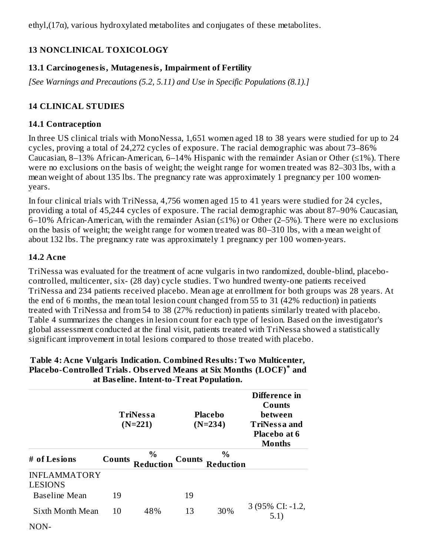ethyl,(17α), various hydroxylated metabolites and conjugates of these metabolites.

# **13 NONCLINICAL TOXICOLOGY**

# **13.1 Carcinogenesis, Mutagenesis, Impairment of Fertility**

*[See Warnings and Precautions (5.2, 5.11) and Use in Specific Populations (8.1).]*

# **14 CLINICAL STUDIES**

### **14.1 Contraception**

In three US clinical trials with MonoNessa, 1,651 women aged 18 to 38 years were studied for up to 24 cycles, proving a total of 24,272 cycles of exposure. The racial demographic was about 73–86% Caucasian, 8–13% African-American, 6–14% Hispanic with the remainder Asian or Other  $(\leq 1\%)$ . There were no exclusions on the basis of weight; the weight range for women treated was 82–303 lbs, with a mean weight of about 135 lbs. The pregnancy rate was approximately 1 pregnancy per 100 womenyears.

In four clinical trials with TriNessa, 4,756 women aged 15 to 41 years were studied for 24 cycles, providing a total of 45,244 cycles of exposure. The racial demographic was about 87–90% Caucasian, 6–10% African-American, with the remainder Asian (≤1%) or Other (2–5%). There were no exclusions on the basis of weight; the weight range for women treated was 80–310 lbs, with a mean weight of about 132 lbs. The pregnancy rate was approximately 1 pregnancy per 100 women-years.

# **14.2 Acne**

TriNessa was evaluated for the treatment of acne vulgaris in two randomized, double-blind, placebocontrolled, multicenter, six- (28 day) cycle studies. Two hundred twenty-one patients received TriNessa and 234 patients received placebo. Mean age at enrollment for both groups was 28 years. At the end of 6 months, the mean total lesion count changed from 55 to 31 (42% reduction) in patients treated with TriNessa and from 54 to 38 (27% reduction) in patients similarly treated with placebo. Table 4 summarizes the changes in lesion count for each type of lesion. Based on the investigator's global assessment conducted at the final visit, patients treated with TriNessa showed a statistically significant improvement in total lesions compared to those treated with placebo.

|                                       |               | at Basenne, mittie to Treat ropanadom<br>TriNessa<br>$(N=221)$ |               | Placebo<br>$(N=234)$     | Difference in<br>Counts<br>between<br><b>TriNessa and</b><br>Placebo at 6<br><b>Months</b> |
|---------------------------------------|---------------|----------------------------------------------------------------|---------------|--------------------------|--------------------------------------------------------------------------------------------|
| # of Lesions                          | <b>Counts</b> | $\%$<br>Reduction                                              | <b>Counts</b> | $\%$<br><b>Reduction</b> |                                                                                            |
| <b>INFLAMMATORY</b><br><b>LESIONS</b> |               |                                                                |               |                          |                                                                                            |
| <b>Baseline Mean</b>                  | 19            |                                                                | 19            |                          |                                                                                            |
| Sixth Month Mean                      | 10            | 48%                                                            | 13            | 30%                      | 3 (95% CI: -1.2,<br>5.1)                                                                   |
| NON-                                  |               |                                                                |               |                          |                                                                                            |

#### **Table 4: Acne Vulgaris Indication. Combined Results: Two Multicenter, Placebo-Controlled Trials. Obs erved Means at Six Months (LOCF) and \*at Bas eline. Intent-to-Treat Population.**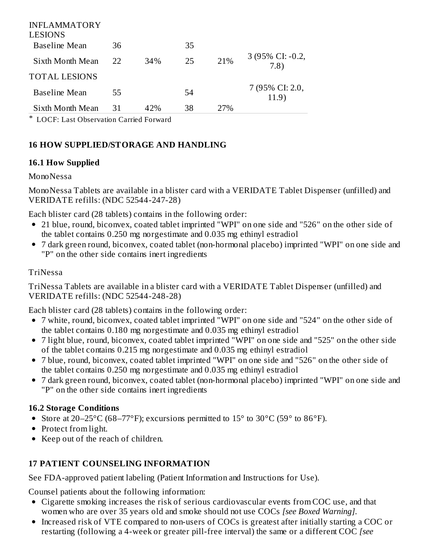| INFLAMMATORY<br><b>LESIONS</b> |    |     |    |     |                          |
|--------------------------------|----|-----|----|-----|--------------------------|
| <b>Baseline Mean</b>           | 36 |     | 35 |     |                          |
| Sixth Month Mean               | 22 | 34% | 25 | 21% | 3 (95% CI: -0.2,<br>7.8) |
| <b>TOTAL LESIONS</b>           |    |     |    |     |                          |
| <b>Baseline Mean</b>           | 55 |     | 54 |     | 7 (95% CI: 2.0,<br>11.9) |
| Sixth Month Mean               | 31 | 42% | 38 | 27% |                          |
|                                |    |     |    |     |                          |

\* LOCF: Last Observation Carried Forward

# **16 HOW SUPPLIED/STORAGE AND HANDLING**

### **16.1 How Supplied**

#### MonoNessa

MonoNessa Tablets are available in a blister card with a VERIDATE Tablet Dispenser (unfilled) and VERIDATE refills: (NDC 52544-247-28)

Each blister card (28 tablets) contains in the following order:

- 21 blue, round, biconvex, coated tablet imprinted "WPI" on one side and "526" on the other side of the tablet contains 0.250 mg norgestimate and 0.035 mg ethinyl estradiol
- 7 dark green round, biconvex, coated tablet (non-hormonal placebo) imprinted "WPI" on one side and "P" on the other side contains inert ingredients

### TriNessa

TriNessa Tablets are available in a blister card with a VERIDATE Tablet Dispenser (unfilled) and VERIDATE refills: (NDC 52544-248-28)

Each blister card (28 tablets) contains in the following order:

- 7 white, round, biconvex, coated tablet imprinted "WPI" on one side and "524" on the other side of the tablet contains 0.180 mg norgestimate and 0.035 mg ethinyl estradiol
- 7 light blue, round, biconvex, coated tablet imprinted "WPI" on one side and "525" on the other side of the tablet contains 0.215 mg norgestimate and 0.035 mg ethinyl estradiol
- 7 blue, round, biconvex, coated tablet imprinted "WPI" on one side and "526" on the other side of the tablet contains 0.250 mg norgestimate and 0.035 mg ethinyl estradiol
- 7 dark green round, biconvex, coated tablet (non-hormonal placebo) imprinted "WPI" on one side and "P" on the other side contains inert ingredients

#### **16.2 Storage Conditions**

- Store at 20–25°C (68–77°F); excursions permitted to 15° to 30°C (59° to 86°F).
- Protect from light.
- Keep out of the reach of children.

# **17 PATIENT COUNSELING INFORMATION**

See FDA-approved patient labeling (Patient Information and Instructions for Use).

Counsel patients about the following information:

- Cigarette smoking increases the risk of serious cardiovascular events from COC use, and that women who are over 35 years old and smoke should not use COCs *[see Boxed Warning]*.
- Increased risk of VTE compared to non-users of COCs is greatest after initially starting a COC or restarting (following a 4-week or greater pill-free interval) the same or a different COC *[see*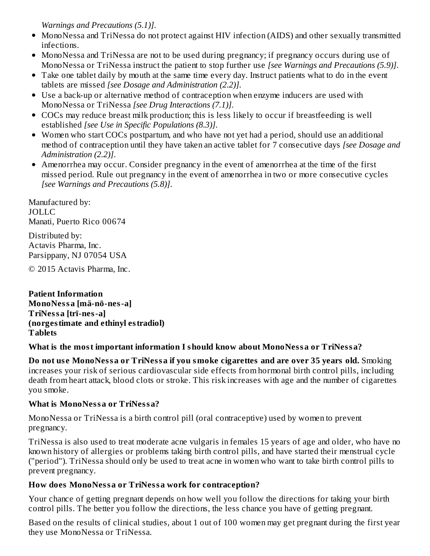*Warnings and Precautions (5.1)]*.

- MonoNessa and TriNessa do not protect against HIV infection (AIDS) and other sexually transmitted infections.
- MonoNessa and TriNessa are not to be used during pregnancy; if pregnancy occurs during use of MonoNessa or TriNessa instruct the patient to stop further use *[see Warnings and Precautions (5.9)]*.
- Take one tablet daily by mouth at the same time every day. Instruct patients what to do in the event tablets are missed *[see Dosage and Administration (2.2)]*.
- Use a back-up or alternative method of contraception when enzyme inducers are used with MonoNessa or TriNessa *[see Drug Interactions (7.1)]*.
- COCs may reduce breast milk production; this is less likely to occur if breastfeeding is well established *[see Use in Specific Populations (8.3)]*.
- Women who start COCs postpartum, and who have not yet had a period, should use an additional method of contraception until they have taken an active tablet for 7 consecutive days *[see Dosage and Administration (2.2)]*.
- Amenorrhea may occur. Consider pregnancy in the event of amenorrhea at the time of the first missed period. Rule out pregnancy in the event of amenorrhea in two or more consecutive cycles *[see Warnings and Precautions (5.8)]*.

Manufactured by: JOLLC Manati, Puerto Rico 00674 Distributed by: Actavis Pharma, Inc.

Parsippany, NJ 07054 USA

© 2015 Actavis Pharma, Inc.

**Patient Information MonoNessa [mä-nō-nes-a] TriNessa [trī-nes-a] (norgestimate and ethinyl estradiol) Tablets**

# **What is the most important information I should know about MonoNessa or TriNessa?**

**Do not us e MonoNessa or TriNessa if you smoke cigarettes and are over 35 years old.** Smoking increases your risk of serious cardiovascular side effects from hormonal birth control pills, including death from heart attack, blood clots or stroke. This risk increases with age and the number of cigarettes you smoke.

#### **What is MonoNessa or TriNessa?**

MonoNessa or TriNessa is a birth control pill (oral contraceptive) used by women to prevent pregnancy.

TriNessa is also used to treat moderate acne vulgaris in females 15 years of age and older, who have no known history of allergies or problems taking birth control pills, and have started their menstrual cycle ("period"). TriNessa should only be used to treat acne in women who want to take birth control pills to prevent pregnancy.

# **How does MonoNessa or TriNessa work for contraception?**

Your chance of getting pregnant depends on how well you follow the directions for taking your birth control pills. The better you follow the directions, the less chance you have of getting pregnant.

Based on the results of clinical studies, about 1 out of 100 women may get pregnant during the first year they use MonoNessa or TriNessa.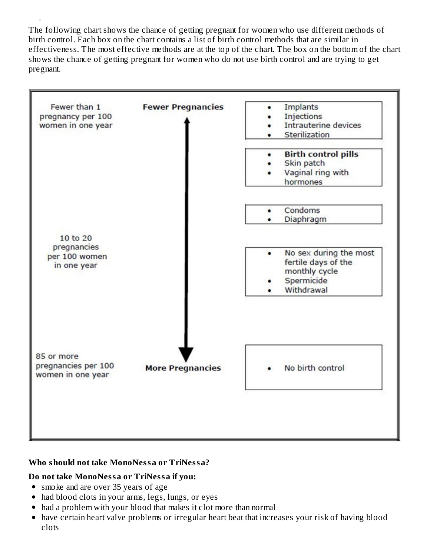The following chart shows the chance of getting pregnant for women who use different methods of birth control. Each box on the chart contains a list of birth control methods that are similar in effectiveness. The most effective methods are at the top of the chart. The box on the bottom of the chart shows the chance of getting pregnant for women who do not use birth control and are trying to get pregnant.



#### **Who should not take MonoNessa or TriNessa?**

#### **Do not take MonoNessa or TriNessa if you:**

• smoke and are over 35 years of age

they use MonoNessa or TriNessa.

- had blood clots in your arms, legs, lungs, or eyes
- had a problem with your blood that makes it clot more than normal
- have certain heart valve problems or irregular heart beat that increases your risk of having blood clots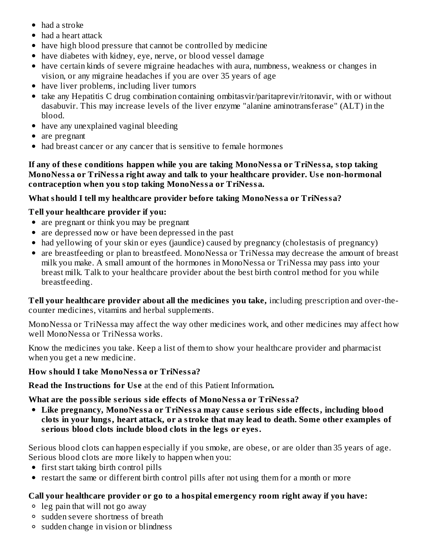- had a stroke
- had a heart attack
- have high blood pressure that cannot be controlled by medicine
- have diabetes with kidney, eye, nerve, or blood vessel damage
- have certain kinds of severe migraine headaches with aura, numbness, weakness or changes in vision, or any migraine headaches if you are over 35 years of age
- have liver problems, including liver tumors
- take any Hepatitis C drug combination containing ombitasvir/paritaprevir/ritonavir, with or without dasabuvir. This may increase levels of the liver enzyme "alanine aminotransferase" (ALT) in the blood.
- have any unexplained vaginal bleeding
- are pregnant
- had breast cancer or any cancer that is sensitive to female hormones

**If any of thes e conditions happen while you are taking MonoNessa or TriNessa, stop taking MonoNessa or TriNessa right away and talk to your healthcare provider. Us e non-hormonal contraception when you stop taking MonoNessa or TriNessa.**

### **What should I tell my healthcare provider before taking MonoNessa or TriNessa?**

# **Tell your healthcare provider if you:**

- are pregnant or think you may be pregnant
- are depressed now or have been depressed in the past
- had yellowing of your skin or eyes (jaundice) caused by pregnancy (cholestasis of pregnancy)
- are breastfeeding or plan to breastfeed. MonoNessa or TriNessa may decrease the amount of breast milk you make. A small amount of the hormones in MonoNessa or TriNessa may pass into your breast milk. Talk to your healthcare provider about the best birth control method for you while breastfeeding.

**Tell your healthcare provider about all the medicines you take,** including prescription and over-thecounter medicines, vitamins and herbal supplements.

MonoNessa or TriNessa may affect the way other medicines work, and other medicines may affect how well MonoNessa or TriNessa works.

Know the medicines you take. Keep a list of them to show your healthcare provider and pharmacist when you get a new medicine.

#### **How should I take MonoNessa or TriNessa?**

**Read the Instructions for Us e** at the end of this Patient Information**.**

#### **What are the possible s erious side effects of MonoNessa or TriNessa?**

**Like pregnancy, MonoNessa or TriNessa may caus e s erious side effects, including blood clots in your lungs, heart attack, or a stroke that may lead to death. Some other examples of s erious blood clots include blood clots in the legs or eyes.**

Serious blood clots can happen especially if you smoke, are obese, or are older than 35 years of age. Serious blood clots are more likely to happen when you:

- first start taking birth control pills
- restart the same or different birth control pills after not using them for a month or more

# **Call your healthcare provider or go to a hospital emergency room right away if you have:**

- leg pain that will not go away
- sudden severe shortness of breath
- sudden change in vision or blindness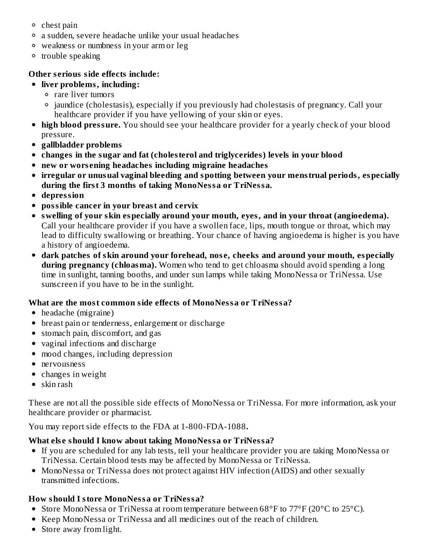- $\circ$  chest pain
- a sudden, severe headache unlike your usual headaches
- weakness or numbness in your arm or leg
- <sup>o</sup> trouble speaking

### **Other s erious side effects include:**

- **liver problems, including:**
	- rare liver tumors
	- <sup>o</sup> jaundice (cholestasis), especially if you previously had cholestasis of pregnancy. Call your healthcare provider if you have yellowing of your skin or eyes.
- **high blood pressure.** You should see your healthcare provider for a yearly check of your blood pressure.
- **gallbladder problems**
- **changes in the sugar and fat (cholesterol and triglycerides) levels in your blood**
- **new or wors ening headaches including migraine headaches**
- **irregular or unusual vaginal bleeding and spotting between your menstrual periods, especially during the first 3 months of taking MonoNessa or TriNessa.**
- **depression**
- **possible cancer in your breast and cervix**
- **swelling of your skin especially around your mouth, eyes, and in your throat (angioedema).** Call your healthcare provider if you have a swollen face, lips, mouth tongue or throat, which may lead to difficulty swallowing or breathing. Your chance of having angioedema is higher is you have a history of angioedema.
- **dark patches of skin around your forehead, nos e, cheeks and around your mouth, especially during pregnancy (chloasma).** Women who tend to get chloasma should avoid spending a long time in sunlight, tanning booths, and under sun lamps while taking MonoNessa or TriNessa. Use sunscreen if you have to be in the sunlight.

# **What are the most common side effects of MonoNessa or TriNessa?**

- headache (migraine)
- breast pain or tenderness, enlargement or discharge
- stomach pain, discomfort, and gas
- vaginal infections and discharge
- mood changes, including depression
- nervousness
- changes in weight
- $\bullet$  skin rash

These are not all the possible side effects of MonoNessa or TriNessa. For more information, ask your healthcare provider or pharmacist.

You may report side effects to the FDA at 1-800-FDA-1088**.**

# **What els e should I know about taking MonoNessa or TriNessa?**

- If you are scheduled for any lab tests, tell your healthcare provider you are taking MonoNessa or TriNessa. Certain blood tests may be affected by MonoNessa or TriNessa.
- MonoNessa or TriNessa does not protect against HIV infection (AIDS) and other sexually transmitted infections.

# **How should I store MonoNessa or TriNessa?**

- Store MonoNessa or TriNessa at room temperature between 68°F to 77°F (20°C to 25°C).
- Keep MonoNessa or TriNessa and all medicines out of the reach of children.
- Store away from light.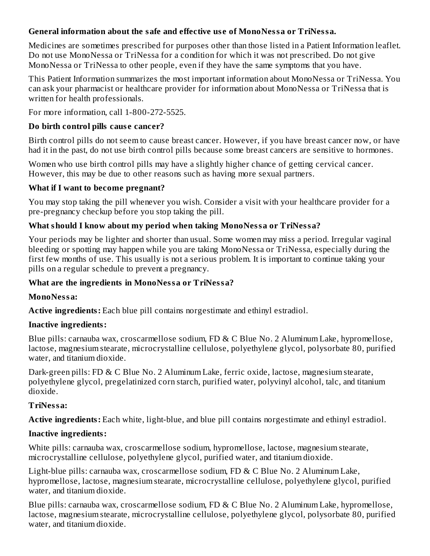### **General information about the safe and effective us e of MonoNessa or TriNessa.**

Medicines are sometimes prescribed for purposes other than those listed in a Patient Information leaflet. Do not use MonoNessa or TriNessa for a condition for which it was not prescribed. Do not give MonoNessa or TriNessa to other people, even if they have the same symptoms that you have.

This Patient Information summarizes the most important information about MonoNessa or TriNessa. You can ask your pharmacist or healthcare provider for information about MonoNessa or TriNessa that is written for health professionals*.*

For more information, call 1-800-272-5525.

#### **Do birth control pills caus e cancer?**

Birth control pills do not seem to cause breast cancer. However, if you have breast cancer now, or have had it in the past, do not use birth control pills because some breast cancers are sensitive to hormones.

Women who use birth control pills may have a slightly higher chance of getting cervical cancer. However, this may be due to other reasons such as having more sexual partners.

#### **What if I want to become pregnant?**

You may stop taking the pill whenever you wish. Consider a visit with your healthcare provider for a pre-pregnancy checkup before you stop taking the pill.

#### **What should I know about my period when taking MonoNessa or TriNessa?**

Your periods may be lighter and shorter than usual. Some women may miss a period. Irregular vaginal bleeding or spotting may happen while you are taking MonoNessa or TriNessa, especially during the first few months of use. This usually is not a serious problem. It is important to continue taking your pills on a regular schedule to prevent a pregnancy.

#### **What are the ingredients in MonoNessa or TriNessa?**

#### **MonoNessa:**

**Active ingredients:** Each blue pill contains norgestimate and ethinyl estradiol.

#### **Inactive ingredients:**

Blue pills: carnauba wax, croscarmellose sodium, FD & C Blue No. 2 Aluminum Lake, hypromellose, lactose, magnesium stearate, microcrystalline cellulose, polyethylene glycol, polysorbate 80, purified water, and titanium dioxide.

Dark-green pills: FD & C Blue No. 2 Aluminum Lake, ferric oxide, lactose, magnesium stearate, polyethylene glycol, pregelatinized corn starch, purified water, polyvinyl alcohol, talc, and titanium dioxide.

#### **TriNessa:**

**Active ingredients:** Each white, light-blue, and blue pill contains norgestimate and ethinyl estradiol.

#### **Inactive ingredients:**

White pills: carnauba wax, croscarmellose sodium, hypromellose, lactose, magnesium stearate, microcrystalline cellulose, polyethylene glycol, purified water, and titanium dioxide.

Light-blue pills: carnauba wax, croscarmellose sodium, FD & C Blue No. 2 Aluminum Lake, hypromellose, lactose, magnesium stearate, microcrystalline cellulose, polyethylene glycol, purified water, and titanium dioxide.

Blue pills: carnauba wax, croscarmellose sodium, FD & C Blue No. 2 Aluminum Lake, hypromellose, lactose, magnesium stearate, microcrystalline cellulose, polyethylene glycol, polysorbate 80, purified water, and titanium dioxide.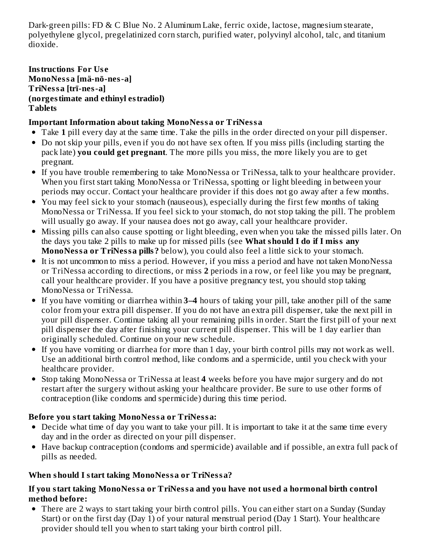Dark-green pills: FD & C Blue No. 2 Aluminum Lake, ferric oxide, lactose, magnesium stearate, polyethylene glycol, pregelatinized corn starch, purified water, polyvinyl alcohol, talc, and titanium dioxide.

#### **Instructions For Us e MonoNessa [mä-nō-nes-a] TriNessa [trī-nes-a] (norgestimate and ethinyl estradiol) Tablets**

# **Important Information about taking MonoNessa or TriNessa**

- Take **1** pill every day at the same time. Take the pills in the order directed on your pill dispenser.
- Do not skip your pills, even if you do not have sex often. If you miss pills (including starting the pack late) **you could get pregnant**. The more pills you miss, the more likely you are to get pregnant.
- If you have trouble remembering to take MonoNessa or TriNessa, talk to your healthcare provider. When you first start taking MonoNessa or TriNessa, spotting or light bleeding in between your periods may occur. Contact your healthcare provider if this does not go away after a few months.
- You may feel sick to your stomach (nauseous), especially during the first few months of taking MonoNessa or TriNessa. If you feel sick to your stomach, do not stop taking the pill. The problem will usually go away. If your nausea does not go away, call your healthcare provider.
- Missing pills can also cause spotting or light bleeding, even when you take the missed pills later. On the days you take 2 pills to make up for missed pills (see **What should I do if I miss any MonoNessa or TriNessa pills?** below), you could also feel a little sick to your stomach.
- It is not uncommon to miss a period. However, if you miss a period and have not taken MonoNessa or TriNessa according to directions, or miss **2** periods in a row, or feel like you may be pregnant, call your healthcare provider. If you have a positive pregnancy test, you should stop taking MonoNessa or TriNessa.
- If you have vomiting or diarrhea within **3–4** hours of taking your pill, take another pill of the same color from your extra pill dispenser. If you do not have an extra pill dispenser, take the next pill in your pill dispenser. Continue taking all your remaining pills in order. Start the first pill of your next pill dispenser the day after finishing your current pill dispenser. This will be 1 day earlier than originally scheduled. Continue on your new schedule.
- If you have vomiting or diarrhea for more than 1 day, your birth control pills may not work as well. Use an additional birth control method, like condoms and a spermicide, until you check with your healthcare provider.
- Stop taking MonoNessa or TriNessa at least **4** weeks before you have major surgery and do not restart after the surgery without asking your healthcare provider. Be sure to use other forms of contraception (like condoms and spermicide) during this time period.

# **Before you start taking MonoNessa or TriNessa:**

- Decide what time of day you want to take your pill. It is important to take it at the same time every day and in the order as directed on your pill dispenser.
- Have backup contraception (condoms and spermicide) available and if possible, an extra full pack of pills as needed.

# **When should I start taking MonoNessa or TriNessa?**

### **If you start taking MonoNessa or TriNessa and you have not us ed a hormonal birth control method before:**

• There are 2 ways to start taking your birth control pills. You can either start on a Sunday (Sunday Start) or on the first day (Day 1) of your natural menstrual period (Day 1 Start). Your healthcare provider should tell you when to start taking your birth control pill.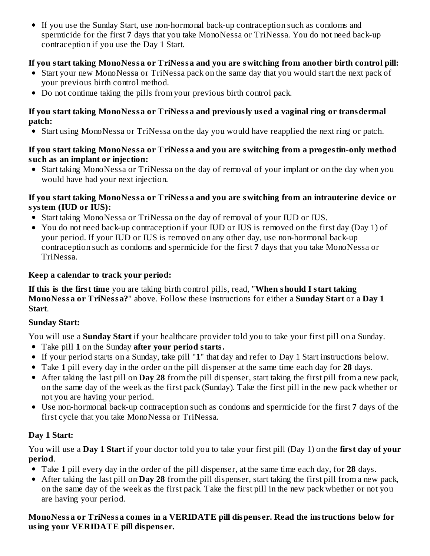If you use the Sunday Start, use non-hormonal back-up contraception such as condoms and spermicide for the first **7** days that you take MonoNessa or TriNessa. You do not need back-up contraception if you use the Day 1 Start.

# **If you start taking MonoNessa or TriNessa and you are switching from another birth control pill:**

- Start your new MonoNessa or TriNessa pack on the same day that you would start the next pack of your previous birth control method.
- Do not continue taking the pills from your previous birth control pack.

#### **If you start taking MonoNessa or TriNessa and previously us ed a vaginal ring or transdermal patch:**

Start using MonoNessa or TriNessa on the day you would have reapplied the next ring or patch.

#### **If you start taking MonoNessa or TriNessa and you are switching from a progestin-only method such as an implant or injection:**

Start taking MonoNessa or TriNessa on the day of removal of your implant or on the day when you would have had your next injection.

#### **If you start taking MonoNessa or TriNessa and you are switching from an intrauterine device or system (IUD or IUS):**

- Start taking MonoNessa or TriNessa on the day of removal of your IUD or IUS.
- You do not need back-up contraception if your IUD or IUS is removed on the first day (Day 1) of your period. If your IUD or IUS is removed on any other day, use non-hormonal back-up contraception such as condoms and spermicide for the first **7** days that you take MonoNessa or TriNessa.

# **Keep a calendar to track your period:**

**If this is the first time** you are taking birth control pills, read, "**When should I start taking MonoNessa or TriNessa?**" above. Follow these instructions for either a **Sunday Start** or a **Day 1 Start**.

# **Sunday Start:**

You will use a **Sunday Start** if your healthcare provider told you to take your first pill on a Sunday.

- Take pill **1** on the Sunday **after your period starts.**
- If your period starts on a Sunday, take pill "**1**" that day and refer to Day 1 Start instructions below.
- Take **1** pill every day in the order on the pill dispenser at the same time each day for **28** days.
- After taking the last pill on **Day 28** from the pill dispenser, start taking the first pill from a new pack, on the same day of the week as the first pack (Sunday). Take the first pill in the new pack whether or not you are having your period.
- Use non-hormonal back-up contraception such as condoms and spermicide for the first **7** days of the first cycle that you take MonoNessa or TriNessa.

# **Day 1 Start:**

You will use a **Day 1 Start** if your doctor told you to take your first pill (Day 1) on the **first day of your period**.

- Take **1** pill every day in the order of the pill dispenser, at the same time each day, for **28** days.
- After taking the last pill on **Day 28** from the pill dispenser, start taking the first pill from a new pack, on the same day of the week as the first pack. Take the first pill in the new pack whether or not you are having your period.

# **MonoNessa or TriNessa comes in a VERIDATE pill dispens er. Read the instructions below for using your VERIDATE pill dispens er.**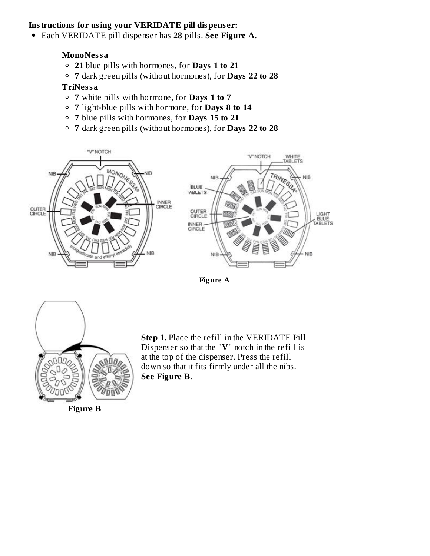#### **Instructions for using your VERIDATE pill dispens er:**

Each VERIDATE pill dispenser has **28** pills. **See Figure A**.

#### **MonoNessa**

- **21** blue pills with hormones, for **Days 1 to 21**
- **7** dark green pills (without hormones), for **Days 22 to 28**

#### **TriNessa**

- **7** white pills with hormone, for **Days 1 to 7**
- **7** light-blue pills with hormone, for **Days 8 to 14**
- **7** blue pills with hormones, for **Days 15 to 21**
- **7** dark green pills (without hormones), for **Days 22 to 28**









**Figure B**

**Step 1.** Place the refill in the VERIDATE Pill Dispenser so that the "**V**" notch in the refill is at the top of the dispenser. Press the refill down so that it fits firmly under all the nibs. **See Figure B**.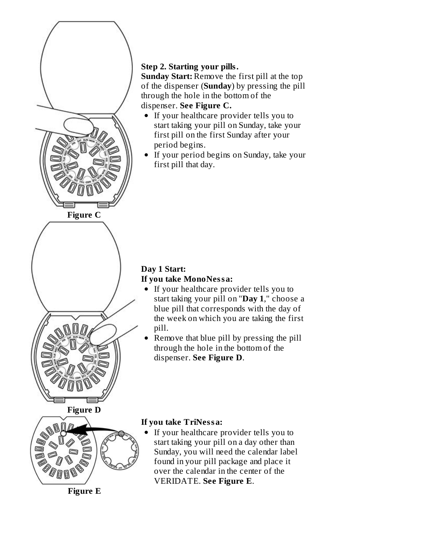

# **Step 2. Starting your pills.**

**Sunday Start:** Remove the first pill at the top of the dispenser (**Sunday**) by pressing the pill through the hole in the bottom of the dispenser. **See Figure C.**

- If your healthcare provider tells you to start taking your pill on Sunday, take your first pill on the first Sunday after your period begins.
- If your period begins on Sunday, take your first pill that day.

# **Day 1 Start: If you take MonoNessa:**

- If your healthcare provider tells you to start taking your pill on "**Day 1**," choose a blue pill that corresponds with the day of the week on which you are taking the first pill.
- Remove that blue pill by pressing the pill through the hole in the bottom of the dispenser. **See Figure D**.

# **If you take TriNessa:**

If your healthcare provider tells you to start taking your pill on a day other than Sunday, you will need the calendar label found in your pill package and place it over the calendar in the center of the VERIDATE. **See Figure E**.

**Figure E**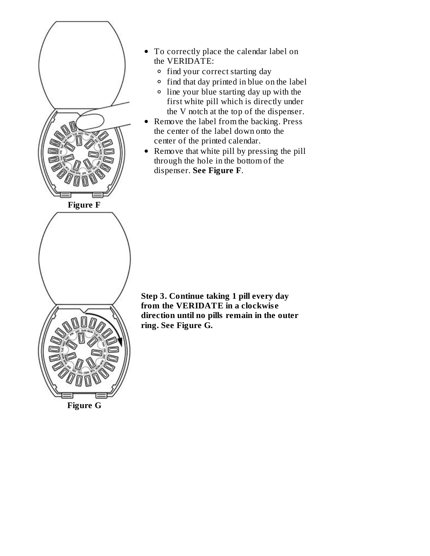

- To correctly place the calendar label on the VERIDATE:
	- <sup>o</sup> find your correct starting day
	- <sup>o</sup> find that day printed in blue on the label
	- line your blue starting day up with the first white pill which is directly under the V notch at the top of the dispenser.
- Remove the label from the backing. Press the center of the label down onto the center of the printed calendar.
- Remove that white pill by pressing the pill through the hole in the bottom of the dispenser. **See Figure F**.

**Step 3. Continue taking 1 pill every day from the VERIDATE in a clockwis e direction until no pills remain in the outer ring. See Figure G.**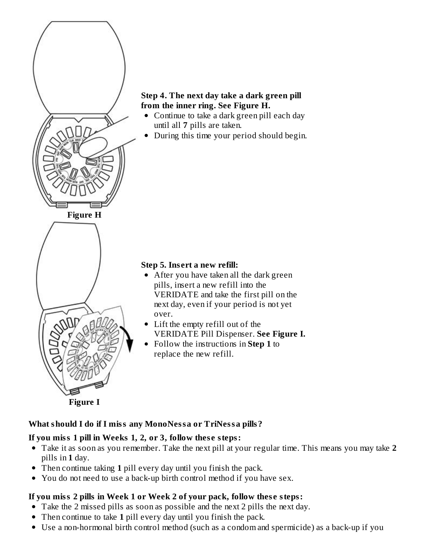

### **Step 4. The next day take a dark green pill from the inner ring. See Figure H.**

- Continue to take a dark green pill each day until all **7** pills are taken.
- During this time your period should begin.

### **Step 5. Ins ert a new refill:**

- After you have taken all the dark green pills, insert a new refill into the VERIDATE and take the first pill on the next day, even if your period is not yet over.
- Lift the empty refill out of the VERIDATE Pill Dispenser. **See Figure I.**
- Follow the instructions in **Step 1** to replace the new refill.

#### **What should I do if I miss any MonoNessa or TriNessa pills?**

#### **If you miss 1 pill in Weeks 1, 2, or 3, follow thes e steps:**

- Take it as soon as you remember. Take the next pill at your regular time. This means you may take **2** pills in **1** day.
- Then continue taking **1** pill every day until you finish the pack.  $\bullet$
- You do not need to use a back-up birth control method if you have sex.  $\bullet$

# **If you miss 2 pills in Week 1 or Week 2 of your pack, follow thes e steps:**

- Take the 2 missed pills as soon as possible and the next 2 pills the next day.
- Then continue to take **1** pill every day until you finish the pack.
- Use a non-hormonal birth control method (such as a condom and spermicide) as a back-up if you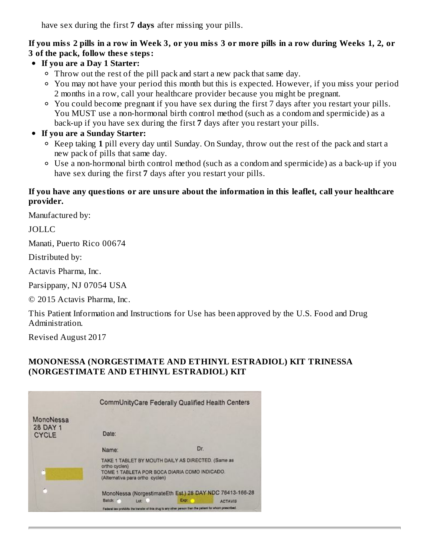have sex during the first **7 days** after missing your pills.

#### If you miss 2 pills in a row in Week 3, or you miss 3 or more pills in a row during Weeks 1, 2, or **3 of the pack, follow thes e steps:**

- **If you are a Day 1 Starter:**
	- Throw out the rest of the pill pack and start a new pack that same day.
	- You may not have your period this month but this is expected. However, if you miss your period 2 months in a row, call your healthcare provider because you might be pregnant.
	- You could become pregnant if you have sex during the first 7 days after you restart your pills. You MUST use a non-hormonal birth control method (such as a condom and spermicide) as a back-up if you have sex during the first **7** days after you restart your pills.
- **If you are a Sunday Starter:**
	- Keep taking **1** pill every day until Sunday. On Sunday, throw out the rest of the pack and start a new pack of pills that same day.
	- Use a non-hormonal birth control method (such as a condom and spermicide) as a back-up if you have sex during the first **7** days after you restart your pills.

#### **If you have any questions or are unsure about the information in this leaflet, call your healthcare provider.**

Manufactured by:

JOLLC

Manati, Puerto Rico 00674

Distributed by:

Actavis Pharma, Inc.

Parsippany, NJ 07054 USA

© 2015 Actavis Pharma, Inc.

This Patient Information and Instructions for Use has been approved by the U.S. Food and Drug Administration.

Revised August 2017

#### **MONONESSA (NORGESTIMATE AND ETHINYL ESTRADIOL) KIT TRINESSA (NORGESTIMATE AND ETHINYL ESTRADIOL) KIT**

|                                       | CommUnityCare Federally Qualified Health Centers                                                                                                        |      |                |
|---------------------------------------|---------------------------------------------------------------------------------------------------------------------------------------------------------|------|----------------|
| MonoNessa<br>28 DAY 1<br><b>CYCLE</b> | Date:                                                                                                                                                   |      |                |
|                                       | Name:                                                                                                                                                   | Dr.  |                |
| ×                                     | TAKE 1 TABLET BY MOUTH DAILY AS DIRECTED. (Same as<br>ortho cyclen)<br>TOME 1 TABLETA POR BOCA DIARIA COMO INDICADO.<br>(Alternativa para ortho cyclen) |      |                |
| ò                                     | MonoNessa (NorgestimateEth Est.) 28 DAY NDC 76413-166-28<br>Batch:<br>Lot 1                                                                             | Exp: | <b>ACTAVIS</b> |
|                                       | Federal law prohibits the transler of this drug to any other person than the patient for whom prescribed.                                               |      |                |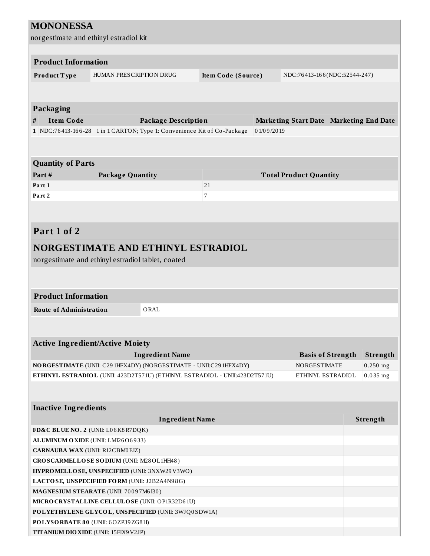| <b>MONONESSA</b>                                                                                            |                                                                         |                    |            |                                         |                          |                 |
|-------------------------------------------------------------------------------------------------------------|-------------------------------------------------------------------------|--------------------|------------|-----------------------------------------|--------------------------|-----------------|
| norgestimate and ethinyl estradiol kit                                                                      |                                                                         |                    |            |                                         |                          |                 |
|                                                                                                             |                                                                         |                    |            |                                         |                          |                 |
| <b>Product Information</b>                                                                                  |                                                                         |                    |            |                                         |                          |                 |
|                                                                                                             |                                                                         |                    |            |                                         |                          |                 |
| Product Type                                                                                                | HUMAN PRESCRIPTION DRUG                                                 | Item Code (Source) |            | NDC:76413-166(NDC:52544-247)            |                          |                 |
|                                                                                                             |                                                                         |                    |            |                                         |                          |                 |
|                                                                                                             |                                                                         |                    |            |                                         |                          |                 |
| <b>Packaging</b>                                                                                            |                                                                         |                    |            |                                         |                          |                 |
| $\#$<br><b>Item Code</b>                                                                                    | <b>Package Description</b>                                              |                    |            | Marketing Start Date Marketing End Date |                          |                 |
|                                                                                                             | 1 NDC:76413-166-28 1 in 1 CARTON; Type 1: Convenience Kit of Co-Package |                    | 01/09/2019 |                                         |                          |                 |
|                                                                                                             |                                                                         |                    |            |                                         |                          |                 |
|                                                                                                             |                                                                         |                    |            |                                         |                          |                 |
| <b>Quantity of Parts</b>                                                                                    |                                                                         |                    |            |                                         |                          |                 |
| Part#                                                                                                       | <b>Package Quantity</b>                                                 |                    |            | <b>Total Product Quantity</b>           |                          |                 |
| Part 1                                                                                                      |                                                                         | 21                 |            |                                         |                          |                 |
| Part 2                                                                                                      |                                                                         | 7                  |            |                                         |                          |                 |
|                                                                                                             |                                                                         |                    |            |                                         |                          |                 |
|                                                                                                             |                                                                         |                    |            |                                         |                          |                 |
| Part 1 of 2                                                                                                 |                                                                         |                    |            |                                         |                          |                 |
|                                                                                                             |                                                                         |                    |            |                                         |                          |                 |
|                                                                                                             | NORGESTIMATE AND ETHINYL ESTRADIOL                                      |                    |            |                                         |                          |                 |
|                                                                                                             | norgestimate and ethinyl estradiol tablet, coated                       |                    |            |                                         |                          |                 |
|                                                                                                             |                                                                         |                    |            |                                         |                          |                 |
|                                                                                                             |                                                                         |                    |            |                                         |                          |                 |
| <b>Product Information</b>                                                                                  |                                                                         |                    |            |                                         |                          |                 |
| <b>Route of Administration</b>                                                                              | ORAL                                                                    |                    |            |                                         |                          |                 |
|                                                                                                             |                                                                         |                    |            |                                         |                          |                 |
|                                                                                                             |                                                                         |                    |            |                                         |                          |                 |
|                                                                                                             | <b>Active Ingredient/Active Moiety</b>                                  |                    |            |                                         |                          |                 |
|                                                                                                             | <b>Ingredient Name</b>                                                  |                    |            |                                         |                          |                 |
|                                                                                                             | NORGESTIMATE (UNII: C291HFX4DY) (NORGESTIMATE - UNII:C291HFX4DY)        |                    |            |                                         | <b>Basis of Strength</b> | <b>Strength</b> |
|                                                                                                             |                                                                         |                    |            | <b>NORGESTIMATE</b>                     |                          | $0.250$ mg      |
| ETHINYL ESTRADIOL (UNII: 423D2T571U) (ETHINYL ESTRADIOL - UNII:423D2T571U)<br>ETHINYL ESTRADIOL<br>0.035 mg |                                                                         |                    |            |                                         |                          |                 |
|                                                                                                             |                                                                         |                    |            |                                         |                          |                 |
| <b>Inactive Ingredients</b>                                                                                 |                                                                         |                    |            |                                         |                          |                 |
|                                                                                                             |                                                                         |                    |            |                                         |                          |                 |
|                                                                                                             | <b>Ingredient Name</b>                                                  |                    |            |                                         |                          | Strength        |
|                                                                                                             | FD&C BLUE NO. 2 (UNII: L06K8R7DQK)                                      |                    |            |                                         |                          |                 |
|                                                                                                             | ALUMINUM OXIDE (UNII: LMI26O6933)                                       |                    |            |                                         |                          |                 |
| <b>CARNAUBA WAX (UNII: R12CBM0EIZ)</b>                                                                      |                                                                         |                    |            |                                         |                          |                 |
|                                                                                                             | CROSCARMELLOSE SODIUM (UNII: M28OL1HH48)                                |                    |            |                                         |                          |                 |
|                                                                                                             | HYPROMELLOSE, UNSPECIFIED (UNII: 3NXW29V3WO)                            |                    |            |                                         |                          |                 |
|                                                                                                             | LACTOSE, UNSPECIFIED FORM (UNII: J2B2A4N98G)                            |                    |            |                                         |                          |                 |
|                                                                                                             | MAGNESIUM STEARATE (UNII: 70097M6I30)                                   |                    |            |                                         |                          |                 |
|                                                                                                             | MICRO CRYSTALLINE CELLULO SE (UNII: OP1R32D61U)                         |                    |            |                                         |                          |                 |
|                                                                                                             | POLYETHYLENE GLYCOL, UNSPECIFIED (UNII: 3WJQ0SDW1A)                     |                    |            |                                         |                          |                 |
|                                                                                                             | POLYSORBATE 80 (UNII: 6OZP39ZG8H)                                       |                    |            |                                         |                          |                 |
| TITANIUM DIO XIDE (UNII: 15FIX9 V2JP)                                                                       |                                                                         |                    |            |                                         |                          |                 |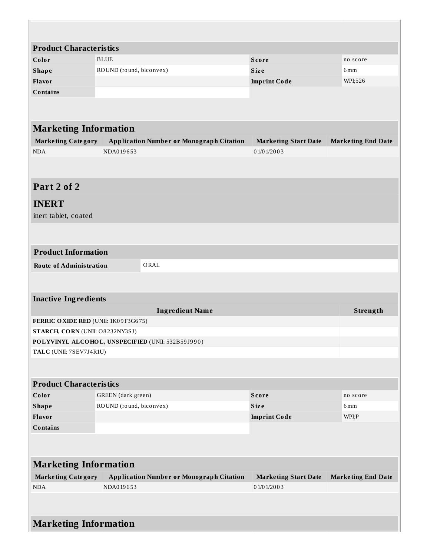| <b>Product Characteristics</b>                    |                         |                                                 |                             |                           |  |  |
|---------------------------------------------------|-------------------------|-------------------------------------------------|-----------------------------|---------------------------|--|--|
| Color                                             | <b>BLUE</b>             |                                                 | <b>Score</b>                | no score                  |  |  |
| <b>Shape</b>                                      | ROUND (round, biconvex) |                                                 | Size                        | 6 <sub>mm</sub>           |  |  |
| Flavor                                            |                         |                                                 | <b>Imprint Code</b>         | WPI;526                   |  |  |
| <b>Contains</b>                                   |                         |                                                 |                             |                           |  |  |
|                                                   |                         |                                                 |                             |                           |  |  |
| <b>Marketing Information</b>                      |                         |                                                 |                             |                           |  |  |
| <b>Marketing Category</b>                         |                         | <b>Application Number or Monograph Citation</b> | <b>Marketing Start Date</b> | <b>Marketing End Date</b> |  |  |
| <b>NDA</b>                                        | NDA019653               |                                                 | 01/01/2003                  |                           |  |  |
|                                                   |                         |                                                 |                             |                           |  |  |
| Part 2 of 2                                       |                         |                                                 |                             |                           |  |  |
| <b>INERT</b><br>inert tablet, coated              |                         |                                                 |                             |                           |  |  |
|                                                   |                         |                                                 |                             |                           |  |  |
| <b>Product Information</b>                        |                         |                                                 |                             |                           |  |  |
| <b>Route of Administration</b><br>ORAL            |                         |                                                 |                             |                           |  |  |
|                                                   |                         |                                                 |                             |                           |  |  |
| <b>Inactive Ingredients</b>                       |                         |                                                 |                             |                           |  |  |
|                                                   |                         | <b>Ingredient Name</b>                          |                             | Strength                  |  |  |
| FERRIC OXIDE RED (UNII: 1K09F3G675)               |                         |                                                 |                             |                           |  |  |
| STARCH, CORN (UNII: O8232NY3SJ)                   |                         |                                                 |                             |                           |  |  |
| POLYVINYL ALCOHOL, UNSPECIFIED (UNII: 532B59J990) |                         |                                                 |                             |                           |  |  |
| TALC (UNII: 7SEV7J4R1U)                           |                         |                                                 |                             |                           |  |  |
|                                                   |                         |                                                 |                             |                           |  |  |
| <b>Product Characteristics</b>                    |                         |                                                 |                             |                           |  |  |
| Color                                             | GREEN (dark green)      |                                                 | <b>Score</b>                | no score                  |  |  |
| <b>Shape</b>                                      | ROUND (round, biconvex) |                                                 | <b>Size</b>                 | 6 <sub>mm</sub>           |  |  |
| Flavor                                            |                         |                                                 |                             | WPI;P                     |  |  |
| <b>Contains</b>                                   |                         |                                                 |                             |                           |  |  |
|                                                   |                         |                                                 |                             |                           |  |  |
| <b>Marketing Information</b>                      |                         |                                                 |                             |                           |  |  |
| <b>Marketing Category</b>                         |                         | <b>Application Number or Monograph Citation</b> | <b>Marketing Start Date</b> | <b>Marketing End Date</b> |  |  |
| <b>NDA</b>                                        | NDA019653               |                                                 | 01/01/2003                  |                           |  |  |
|                                                   |                         |                                                 |                             |                           |  |  |
| <b>Marketing Information</b>                      |                         |                                                 |                             |                           |  |  |